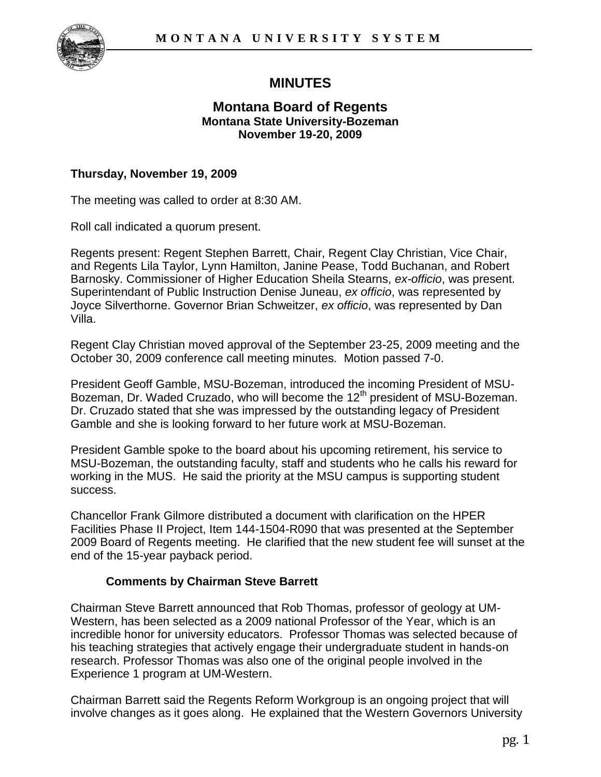

# **MINUTES**

# **Montana Board of Regents Montana State University-Bozeman November 19-20, 2009**

# **Thursday, November 19, 2009**

The meeting was called to order at 8:30 AM.

Roll call indicated a quorum present.

Regents present: Regent Stephen Barrett, Chair, Regent Clay Christian, Vice Chair, and Regents Lila Taylor, Lynn Hamilton, Janine Pease, Todd Buchanan, and Robert Barnosky. Commissioner of Higher Education Sheila Stearns, *ex-officio*, was present. Superintendant of Public Instruction Denise Juneau, *ex officio*, was represented by Joyce Silverthorne. Governor Brian Schweitzer, *ex officio*, was represented by Dan Villa.

Regent Clay Christian moved approval of the September 23-25, 2009 meeting and the October 30, 2009 conference call meeting minutes. Motion passed 7-0.

President Geoff Gamble, MSU-Bozeman, introduced the incoming President of MSU-Bozeman, Dr. Waded Cruzado, who will become the 12<sup>th</sup> president of MSU-Bozeman. Dr. Cruzado stated that she was impressed by the outstanding legacy of President Gamble and she is looking forward to her future work at MSU-Bozeman.

President Gamble spoke to the board about his upcoming retirement, his service to MSU-Bozeman, the outstanding faculty, staff and students who he calls his reward for working in the MUS. He said the priority at the MSU campus is supporting student success.

Chancellor Frank Gilmore distributed a document with clarification on the HPER Facilities Phase II Project, Item 144-1504-R090 that was presented at the September 2009 Board of Regents meeting. He clarified that the new student fee will sunset at the end of the 15-year payback period.

### **Comments by Chairman Steve Barrett**

Chairman Steve Barrett announced that Rob Thomas, professor of geology at UM-Western, has been selected as a 2009 national Professor of the Year, which is an incredible honor for university educators. Professor Thomas was selected because of his teaching strategies that actively engage their undergraduate student in hands-on research. Professor Thomas was also one of the original people involved in the Experience 1 program at UM-Western.

Chairman Barrett said the Regents Reform Workgroup is an ongoing project that will involve changes as it goes along. He explained that the Western Governors University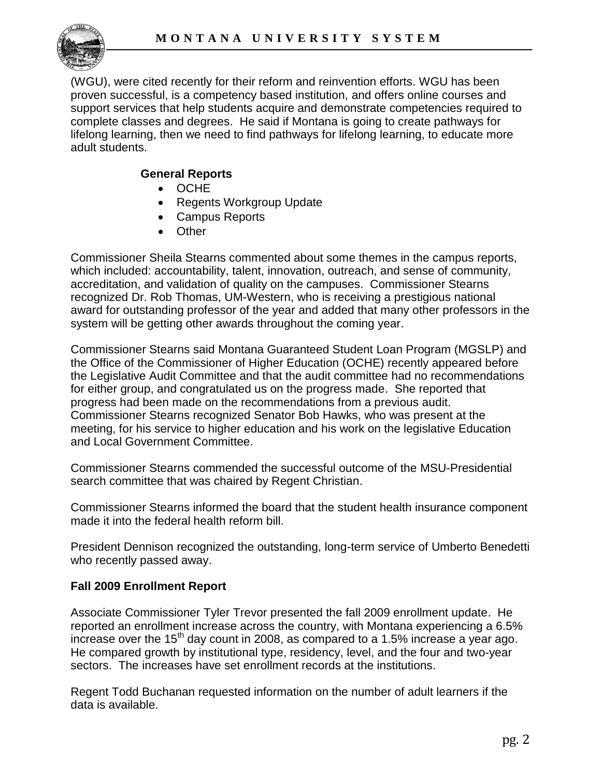

(WGU), were cited recently for their reform and reinvention efforts. WGU has been proven successful, is a competency based institution, and offers online courses and support services that help students acquire and demonstrate competencies required to complete classes and degrees. He said if Montana is going to create pathways for lifelong learning, then we need to find pathways for lifelong learning, to educate more adult students.

# **General Reports**

- OCHE
- Regents Workgroup Update
- Campus Reports
- Other

Commissioner Sheila Stearns commented about some themes in the campus reports, which included: accountability, talent, innovation, outreach, and sense of community, accreditation, and validation of quality on the campuses. Commissioner Stearns recognized Dr. Rob Thomas, UM-Western, who is receiving a prestigious national award for outstanding professor of the year and added that many other professors in the system will be getting other awards throughout the coming year.

Commissioner Stearns said Montana Guaranteed Student Loan Program (MGSLP) and the Office of the Commissioner of Higher Education (OCHE) recently appeared before the Legislative Audit Committee and that the audit committee had no recommendations for either group, and congratulated us on the progress made. She reported that progress had been made on the recommendations from a previous audit. Commissioner Stearns recognized Senator Bob Hawks, who was present at the meeting, for his service to higher education and his work on the legislative Education and Local Government Committee.

Commissioner Stearns commended the successful outcome of the MSU-Presidential search committee that was chaired by Regent Christian.

Commissioner Stearns informed the board that the student health insurance component made it into the federal health reform bill.

President Dennison recognized the outstanding, long-term service of Umberto Benedetti who recently passed away.

### **Fall 2009 Enrollment Report**

Associate Commissioner Tyler Trevor presented the fall 2009 enrollment update. He reported an enrollment increase across the country, with Montana experiencing a 6.5% increase over the  $15<sup>th</sup>$  day count in 2008, as compared to a 1.5% increase a year ago. He compared growth by institutional type, residency, level, and the four and two-year sectors. The increases have set enrollment records at the institutions.

Regent Todd Buchanan requested information on the number of adult learners if the data is available.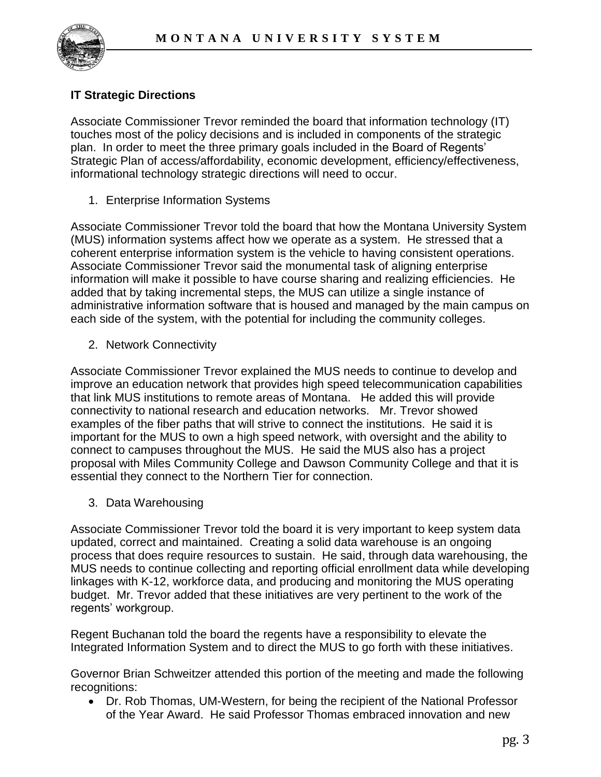

# **IT Strategic Directions**

Associate Commissioner Trevor reminded the board that information technology (IT) touches most of the policy decisions and is included in components of the strategic plan. In order to meet the three primary goals included in the Board of Regents' Strategic Plan of access/affordability, economic development, efficiency/effectiveness, informational technology strategic directions will need to occur.

1. Enterprise Information Systems

Associate Commissioner Trevor told the board that how the Montana University System (MUS) information systems affect how we operate as a system. He stressed that a coherent enterprise information system is the vehicle to having consistent operations. Associate Commissioner Trevor said the monumental task of aligning enterprise information will make it possible to have course sharing and realizing efficiencies. He added that by taking incremental steps, the MUS can utilize a single instance of administrative information software that is housed and managed by the main campus on each side of the system, with the potential for including the community colleges.

2. Network Connectivity

Associate Commissioner Trevor explained the MUS needs to continue to develop and improve an education network that provides high speed telecommunication capabilities that link MUS institutions to remote areas of Montana. He added this will provide connectivity to national research and education networks. Mr. Trevor showed examples of the fiber paths that will strive to connect the institutions. He said it is important for the MUS to own a high speed network, with oversight and the ability to connect to campuses throughout the MUS. He said the MUS also has a project proposal with Miles Community College and Dawson Community College and that it is essential they connect to the Northern Tier for connection.

3. Data Warehousing

Associate Commissioner Trevor told the board it is very important to keep system data updated, correct and maintained. Creating a solid data warehouse is an ongoing process that does require resources to sustain. He said, through data warehousing, the MUS needs to continue collecting and reporting official enrollment data while developing linkages with K-12, workforce data, and producing and monitoring the MUS operating budget. Mr. Trevor added that these initiatives are very pertinent to the work of the regents' workgroup.

Regent Buchanan told the board the regents have a responsibility to elevate the Integrated Information System and to direct the MUS to go forth with these initiatives.

Governor Brian Schweitzer attended this portion of the meeting and made the following recognitions:

 Dr. Rob Thomas, UM-Western, for being the recipient of the National Professor of the Year Award. He said Professor Thomas embraced innovation and new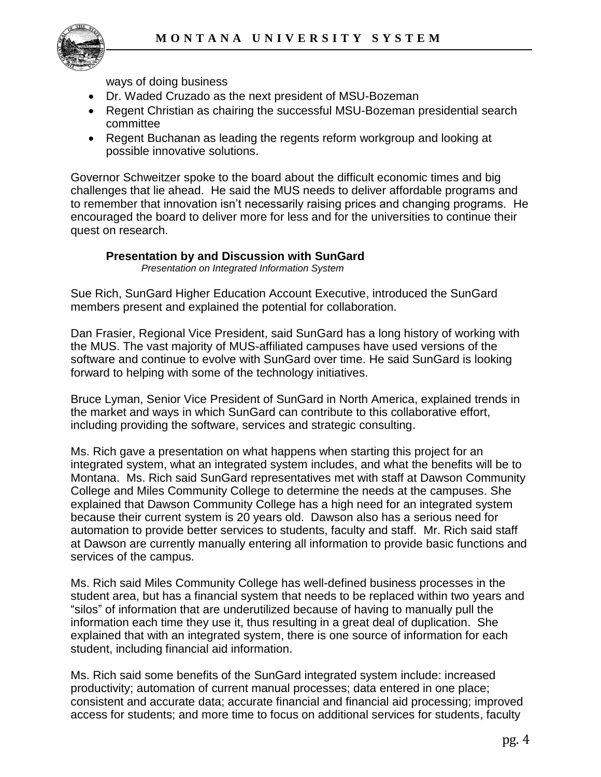

ways of doing business

- Dr. Waded Cruzado as the next president of MSU-Bozeman
- Regent Christian as chairing the successful MSU-Bozeman presidential search committee
- Regent Buchanan as leading the regents reform workgroup and looking at possible innovative solutions.

Governor Schweitzer spoke to the board about the difficult economic times and big challenges that lie ahead. He said the MUS needs to deliver affordable programs and to remember that innovation isn't necessarily raising prices and changing programs. He encouraged the board to deliver more for less and for the universities to continue their quest on research.

### **Presentation by and Discussion with SunGard**

*Presentation on Integrated Information System*

Sue Rich, SunGard Higher Education Account Executive, introduced the SunGard members present and explained the potential for collaboration.

Dan Frasier, Regional Vice President, said SunGard has a long history of working with the MUS. The vast majority of MUS-affiliated campuses have used versions of the software and continue to evolve with SunGard over time. He said SunGard is looking forward to helping with some of the technology initiatives.

Bruce Lyman, Senior Vice President of SunGard in North America, explained trends in the market and ways in which SunGard can contribute to this collaborative effort, including providing the software, services and strategic consulting.

Ms. Rich gave a presentation on what happens when starting this project for an integrated system, what an integrated system includes, and what the benefits will be to Montana. Ms. Rich said SunGard representatives met with staff at Dawson Community College and Miles Community College to determine the needs at the campuses. She explained that Dawson Community College has a high need for an integrated system because their current system is 20 years old. Dawson also has a serious need for automation to provide better services to students, faculty and staff. Mr. Rich said staff at Dawson are currently manually entering all information to provide basic functions and services of the campus.

Ms. Rich said Miles Community College has well-defined business processes in the student area, but has a financial system that needs to be replaced within two years and "silos" of information that are underutilized because of having to manually pull the information each time they use it, thus resulting in a great deal of duplication. She explained that with an integrated system, there is one source of information for each student, including financial aid information.

Ms. Rich said some benefits of the SunGard integrated system include: increased productivity; automation of current manual processes; data entered in one place; consistent and accurate data; accurate financial and financial aid processing; improved access for students; and more time to focus on additional services for students, faculty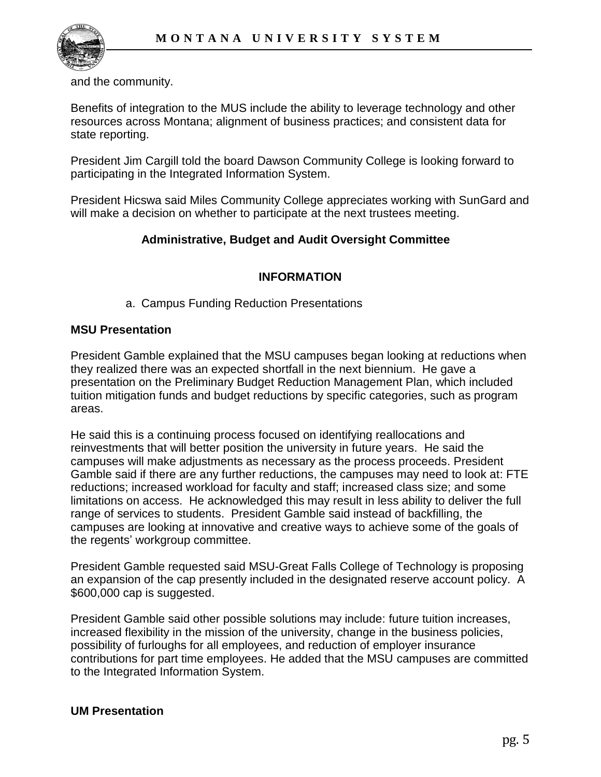

and the community.

Benefits of integration to the MUS include the ability to leverage technology and other resources across Montana; alignment of business practices; and consistent data for state reporting.

President Jim Cargill told the board Dawson Community College is looking forward to participating in the Integrated Information System.

President Hicswa said Miles Community College appreciates working with SunGard and will make a decision on whether to participate at the next trustees meeting.

# **Administrative, Budget and Audit Oversight Committee**

# **INFORMATION**

a. Campus Funding Reduction Presentations

#### **MSU Presentation**

President Gamble explained that the MSU campuses began looking at reductions when they realized there was an expected shortfall in the next biennium. He gave a presentation on the Preliminary Budget Reduction Management Plan, which included tuition mitigation funds and budget reductions by specific categories, such as program areas.

He said this is a continuing process focused on identifying reallocations and reinvestments that will better position the university in future years. He said the campuses will make adjustments as necessary as the process proceeds. President Gamble said if there are any further reductions, the campuses may need to look at: FTE reductions; increased workload for faculty and staff; increased class size; and some limitations on access. He acknowledged this may result in less ability to deliver the full range of services to students. President Gamble said instead of backfilling, the campuses are looking at innovative and creative ways to achieve some of the goals of the regents' workgroup committee.

President Gamble requested said MSU-Great Falls College of Technology is proposing an expansion of the cap presently included in the designated reserve account policy. A \$600,000 cap is suggested.

President Gamble said other possible solutions may include: future tuition increases, increased flexibility in the mission of the university, change in the business policies, possibility of furloughs for all employees, and reduction of employer insurance contributions for part time employees. He added that the MSU campuses are committed to the Integrated Information System.

### **UM Presentation**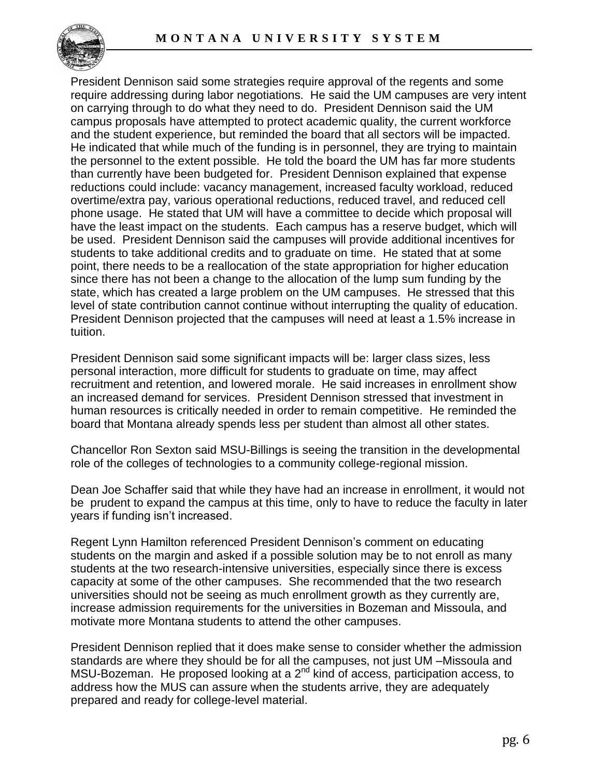

President Dennison said some strategies require approval of the regents and some require addressing during labor negotiations. He said the UM campuses are very intent on carrying through to do what they need to do. President Dennison said the UM campus proposals have attempted to protect academic quality, the current workforce and the student experience, but reminded the board that all sectors will be impacted. He indicated that while much of the funding is in personnel, they are trying to maintain the personnel to the extent possible. He told the board the UM has far more students than currently have been budgeted for. President Dennison explained that expense reductions could include: vacancy management, increased faculty workload, reduced overtime/extra pay, various operational reductions, reduced travel, and reduced cell phone usage. He stated that UM will have a committee to decide which proposal will have the least impact on the students. Each campus has a reserve budget, which will be used. President Dennison said the campuses will provide additional incentives for students to take additional credits and to graduate on time. He stated that at some point, there needs to be a reallocation of the state appropriation for higher education since there has not been a change to the allocation of the lump sum funding by the state, which has created a large problem on the UM campuses. He stressed that this level of state contribution cannot continue without interrupting the quality of education. President Dennison projected that the campuses will need at least a 1.5% increase in tuition.

President Dennison said some significant impacts will be: larger class sizes, less personal interaction, more difficult for students to graduate on time, may affect recruitment and retention, and lowered morale. He said increases in enrollment show an increased demand for services. President Dennison stressed that investment in human resources is critically needed in order to remain competitive. He reminded the board that Montana already spends less per student than almost all other states.

Chancellor Ron Sexton said MSU-Billings is seeing the transition in the developmental role of the colleges of technologies to a community college-regional mission.

Dean Joe Schaffer said that while they have had an increase in enrollment, it would not be prudent to expand the campus at this time, only to have to reduce the faculty in later years if funding isn't increased.

Regent Lynn Hamilton referenced President Dennison's comment on educating students on the margin and asked if a possible solution may be to not enroll as many students at the two research-intensive universities, especially since there is excess capacity at some of the other campuses. She recommended that the two research universities should not be seeing as much enrollment growth as they currently are, increase admission requirements for the universities in Bozeman and Missoula, and motivate more Montana students to attend the other campuses.

President Dennison replied that it does make sense to consider whether the admission standards are where they should be for all the campuses, not just UM –Missoula and MSU-Bozeman. He proposed looking at a  $2^{nd}$  kind of access, participation access, to address how the MUS can assure when the students arrive, they are adequately prepared and ready for college-level material.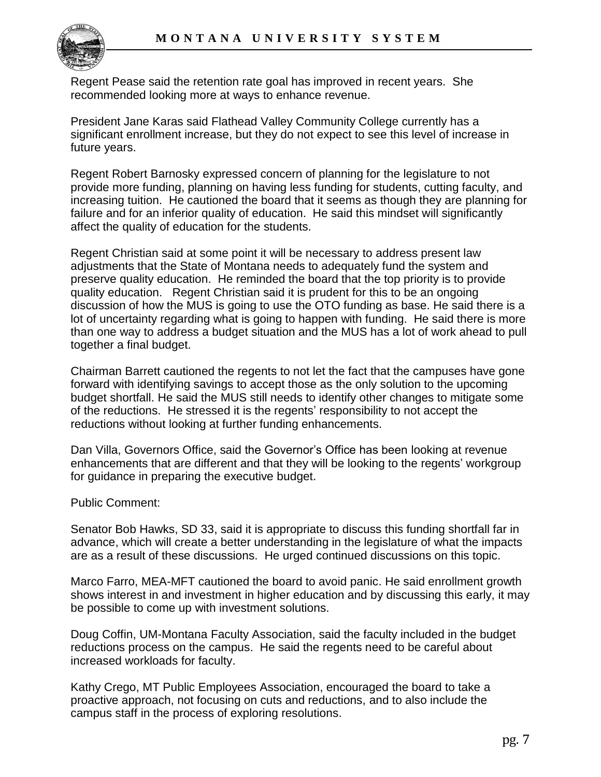

Regent Pease said the retention rate goal has improved in recent years. She recommended looking more at ways to enhance revenue.

President Jane Karas said Flathead Valley Community College currently has a significant enrollment increase, but they do not expect to see this level of increase in future years.

Regent Robert Barnosky expressed concern of planning for the legislature to not provide more funding, planning on having less funding for students, cutting faculty, and increasing tuition. He cautioned the board that it seems as though they are planning for failure and for an inferior quality of education. He said this mindset will significantly affect the quality of education for the students.

Regent Christian said at some point it will be necessary to address present law adjustments that the State of Montana needs to adequately fund the system and preserve quality education. He reminded the board that the top priority is to provide quality education. Regent Christian said it is prudent for this to be an ongoing discussion of how the MUS is going to use the OTO funding as base. He said there is a lot of uncertainty regarding what is going to happen with funding. He said there is more than one way to address a budget situation and the MUS has a lot of work ahead to pull together a final budget.

Chairman Barrett cautioned the regents to not let the fact that the campuses have gone forward with identifying savings to accept those as the only solution to the upcoming budget shortfall. He said the MUS still needs to identify other changes to mitigate some of the reductions. He stressed it is the regents' responsibility to not accept the reductions without looking at further funding enhancements.

Dan Villa, Governors Office, said the Governor's Office has been looking at revenue enhancements that are different and that they will be looking to the regents' workgroup for guidance in preparing the executive budget.

#### Public Comment:

Senator Bob Hawks, SD 33, said it is appropriate to discuss this funding shortfall far in advance, which will create a better understanding in the legislature of what the impacts are as a result of these discussions. He urged continued discussions on this topic.

Marco Farro, MEA-MFT cautioned the board to avoid panic. He said enrollment growth shows interest in and investment in higher education and by discussing this early, it may be possible to come up with investment solutions.

Doug Coffin, UM-Montana Faculty Association, said the faculty included in the budget reductions process on the campus. He said the regents need to be careful about increased workloads for faculty.

Kathy Crego, MT Public Employees Association, encouraged the board to take a proactive approach, not focusing on cuts and reductions, and to also include the campus staff in the process of exploring resolutions.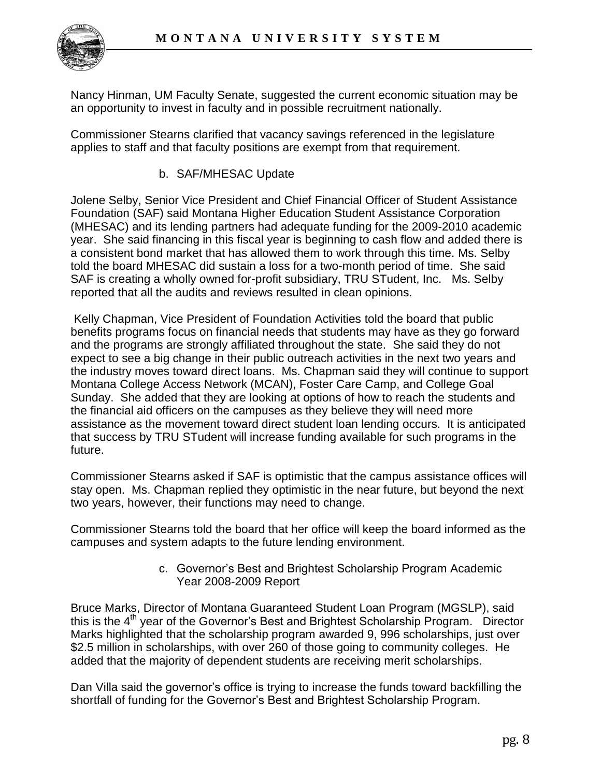

Nancy Hinman, UM Faculty Senate, suggested the current economic situation may be an opportunity to invest in faculty and in possible recruitment nationally.

Commissioner Stearns clarified that vacancy savings referenced in the legislature applies to staff and that faculty positions are exempt from that requirement.

b. SAF/MHESAC Update

Jolene Selby, Senior Vice President and Chief Financial Officer of Student Assistance Foundation (SAF) said Montana Higher Education Student Assistance Corporation (MHESAC) and its lending partners had adequate funding for the 2009-2010 academic year. She said financing in this fiscal year is beginning to cash flow and added there is a consistent bond market that has allowed them to work through this time. Ms. Selby told the board MHESAC did sustain a loss for a two-month period of time. She said SAF is creating a wholly owned for-profit subsidiary, TRU STudent, Inc. Ms. Selby reported that all the audits and reviews resulted in clean opinions.

Kelly Chapman, Vice President of Foundation Activities told the board that public benefits programs focus on financial needs that students may have as they go forward and the programs are strongly affiliated throughout the state. She said they do not expect to see a big change in their public outreach activities in the next two years and the industry moves toward direct loans. Ms. Chapman said they will continue to support Montana College Access Network (MCAN), Foster Care Camp, and College Goal Sunday. She added that they are looking at options of how to reach the students and the financial aid officers on the campuses as they believe they will need more assistance as the movement toward direct student loan lending occurs. It is anticipated that success by TRU STudent will increase funding available for such programs in the future.

Commissioner Stearns asked if SAF is optimistic that the campus assistance offices will stay open. Ms. Chapman replied they optimistic in the near future, but beyond the next two years, however, their functions may need to change.

Commissioner Stearns told the board that her office will keep the board informed as the campuses and system adapts to the future lending environment.

> c. Governor's Best and Brightest Scholarship Program Academic Year 2008-2009 Report

Bruce Marks, Director of Montana Guaranteed Student Loan Program (MGSLP), said this is the 4<sup>th</sup> year of the Governor's Best and Brightest Scholarship Program. Director Marks highlighted that the scholarship program awarded 9, 996 scholarships, just over \$2.5 million in scholarships, with over 260 of those going to community colleges. He added that the majority of dependent students are receiving merit scholarships.

Dan Villa said the governor's office is trying to increase the funds toward backfilling the shortfall of funding for the Governor's Best and Brightest Scholarship Program.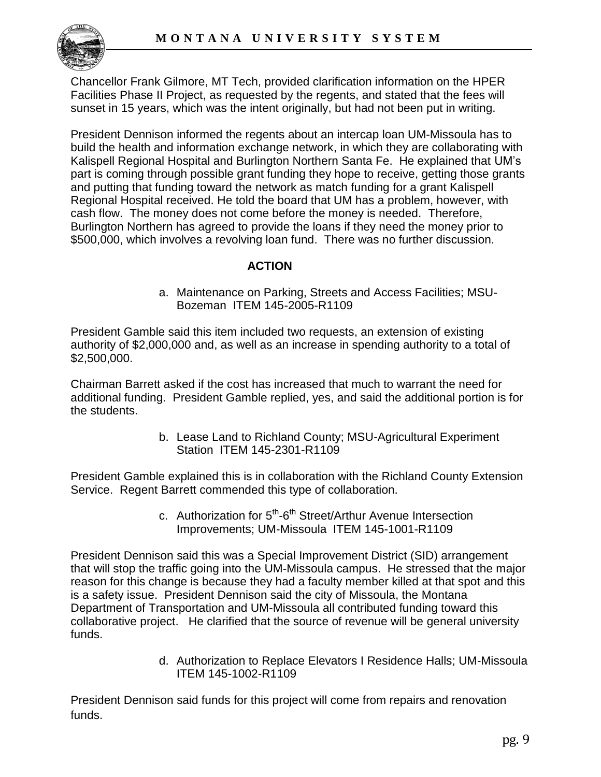

Chancellor Frank Gilmore, MT Tech, provided clarification information on the HPER Facilities Phase II Project, as requested by the regents, and stated that the fees will sunset in 15 years, which was the intent originally, but had not been put in writing.

President Dennison informed the regents about an intercap loan UM-Missoula has to build the health and information exchange network, in which they are collaborating with Kalispell Regional Hospital and Burlington Northern Santa Fe. He explained that UM's part is coming through possible grant funding they hope to receive, getting those grants and putting that funding toward the network as match funding for a grant Kalispell Regional Hospital received. He told the board that UM has a problem, however, with cash flow. The money does not come before the money is needed. Therefore, Burlington Northern has agreed to provide the loans if they need the money prior to \$500,000, which involves a revolving loan fund. There was no further discussion.

### **ACTION**

a. Maintenance on Parking, Streets and Access Facilities; MSU-Bozeman ITEM 145-2005-R1109

President Gamble said this item included two requests, an extension of existing authority of \$2,000,000 and, as well as an increase in spending authority to a total of \$2,500,000.

Chairman Barrett asked if the cost has increased that much to warrant the need for additional funding. President Gamble replied, yes, and said the additional portion is for the students.

> b. Lease Land to Richland County; MSU-Agricultural Experiment Station ITEM 145-2301-R1109

President Gamble explained this is in collaboration with the Richland County Extension Service. Regent Barrett commended this type of collaboration.

> c. Authorization for 5<sup>th</sup>-6<sup>th</sup> Street/Arthur Avenue Intersection Improvements; UM-Missoula ITEM 145-1001-R1109

President Dennison said this was a Special Improvement District (SID) arrangement that will stop the traffic going into the UM-Missoula campus. He stressed that the major reason for this change is because they had a faculty member killed at that spot and this is a safety issue. President Dennison said the city of Missoula, the Montana Department of Transportation and UM-Missoula all contributed funding toward this collaborative project. He clarified that the source of revenue will be general university funds.

> d. Authorization to Replace Elevators I Residence Halls; UM-Missoula ITEM 145-1002-R1109

President Dennison said funds for this project will come from repairs and renovation funds.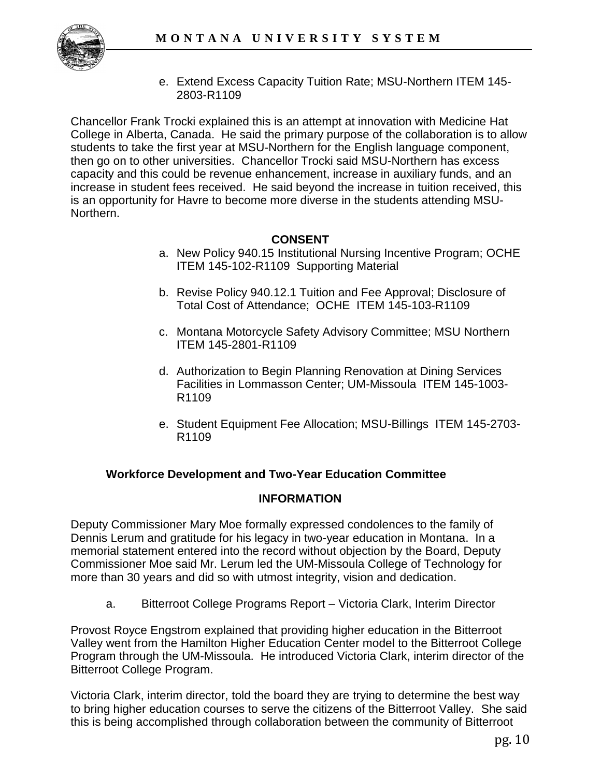

e. Extend Excess Capacity Tuition Rate; MSU-Northern ITEM 145- 2803-R1109

Chancellor Frank Trocki explained this is an attempt at innovation with Medicine Hat College in Alberta, Canada. He said the primary purpose of the collaboration is to allow students to take the first year at MSU-Northern for the English language component, then go on to other universities. Chancellor Trocki said MSU-Northern has excess capacity and this could be revenue enhancement, increase in auxiliary funds, and an increase in student fees received. He said beyond the increase in tuition received, this is an opportunity for Havre to become more diverse in the students attending MSU-Northern.

### **CONSENT**

- a. New Policy 940.15 Institutional Nursing Incentive Program; OCHE ITEM 145-102-R1109 Supporting Material
- b. Revise Policy 940.12.1 Tuition and Fee Approval; Disclosure of Total Cost of Attendance; OCHE ITEM 145-103-R1109
- c. Montana Motorcycle Safety Advisory Committee; MSU Northern ITEM 145-2801-R1109
- d. Authorization to Begin Planning Renovation at Dining Services Facilities in Lommasson Center; UM-Missoula ITEM 145-1003- R1109
- e. Student Equipment Fee Allocation; MSU-Billings ITEM 145-2703- R1109

### **Workforce Development and Two-Year Education Committee**

### **INFORMATION**

Deputy Commissioner Mary Moe formally expressed condolences to the family of Dennis Lerum and gratitude for his legacy in two-year education in Montana. In a memorial statement entered into the record without objection by the Board, Deputy Commissioner Moe said Mr. Lerum led the UM-Missoula College of Technology for more than 30 years and did so with utmost integrity, vision and dedication.

a. Bitterroot College Programs Report – Victoria Clark, Interim Director

Provost Royce Engstrom explained that providing higher education in the Bitterroot Valley went from the Hamilton Higher Education Center model to the Bitterroot College Program through the UM-Missoula. He introduced Victoria Clark, interim director of the Bitterroot College Program.

Victoria Clark, interim director, told the board they are trying to determine the best way to bring higher education courses to serve the citizens of the Bitterroot Valley. She said this is being accomplished through collaboration between the community of Bitterroot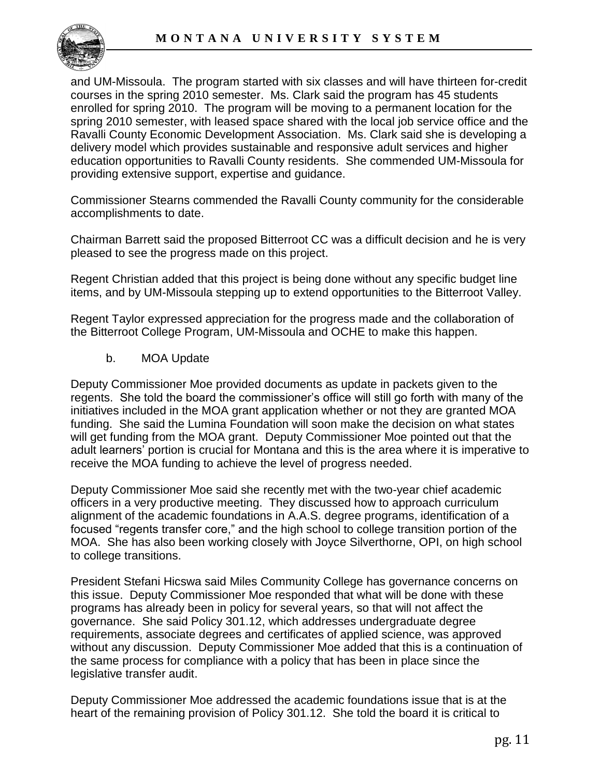

and UM-Missoula. The program started with six classes and will have thirteen for-credit courses in the spring 2010 semester. Ms. Clark said the program has 45 students enrolled for spring 2010. The program will be moving to a permanent location for the spring 2010 semester, with leased space shared with the local job service office and the Ravalli County Economic Development Association. Ms. Clark said she is developing a delivery model which provides sustainable and responsive adult services and higher education opportunities to Ravalli County residents. She commended UM-Missoula for providing extensive support, expertise and guidance.

Commissioner Stearns commended the Ravalli County community for the considerable accomplishments to date.

Chairman Barrett said the proposed Bitterroot CC was a difficult decision and he is very pleased to see the progress made on this project.

Regent Christian added that this project is being done without any specific budget line items, and by UM-Missoula stepping up to extend opportunities to the Bitterroot Valley.

Regent Taylor expressed appreciation for the progress made and the collaboration of the Bitterroot College Program, UM-Missoula and OCHE to make this happen.

### b. MOA Update

Deputy Commissioner Moe provided documents as update in packets given to the regents. She told the board the commissioner's office will still go forth with many of the initiatives included in the MOA grant application whether or not they are granted MOA funding. She said the Lumina Foundation will soon make the decision on what states will get funding from the MOA grant. Deputy Commissioner Moe pointed out that the adult learners' portion is crucial for Montana and this is the area where it is imperative to receive the MOA funding to achieve the level of progress needed.

Deputy Commissioner Moe said she recently met with the two-year chief academic officers in a very productive meeting. They discussed how to approach curriculum alignment of the academic foundations in A.A.S. degree programs, identification of a focused "regents transfer core," and the high school to college transition portion of the MOA. She has also been working closely with Joyce Silverthorne, OPI, on high school to college transitions.

President Stefani Hicswa said Miles Community College has governance concerns on this issue. Deputy Commissioner Moe responded that what will be done with these programs has already been in policy for several years, so that will not affect the governance. She said Policy 301.12, which addresses undergraduate degree requirements, associate degrees and certificates of applied science, was approved without any discussion. Deputy Commissioner Moe added that this is a continuation of the same process for compliance with a policy that has been in place since the legislative transfer audit.

Deputy Commissioner Moe addressed the academic foundations issue that is at the heart of the remaining provision of Policy 301.12. She told the board it is critical to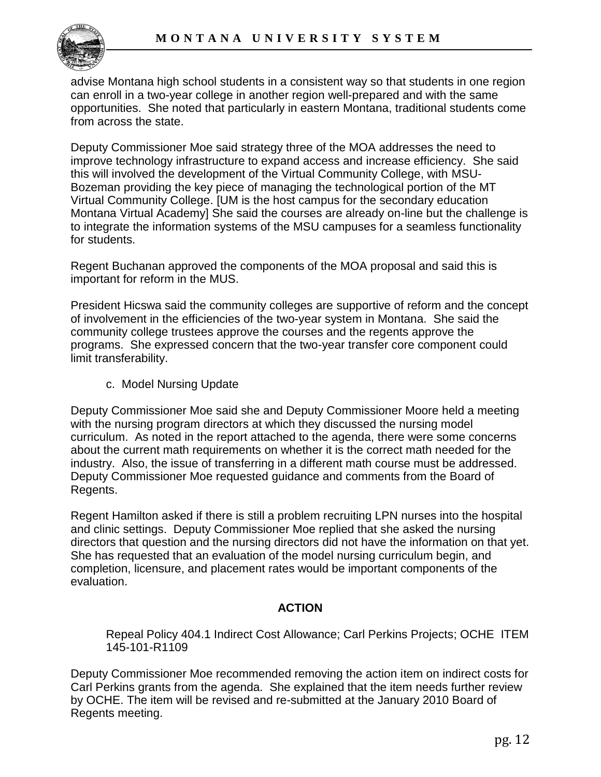

advise Montana high school students in a consistent way so that students in one region can enroll in a two-year college in another region well-prepared and with the same opportunities. She noted that particularly in eastern Montana, traditional students come from across the state.

Deputy Commissioner Moe said strategy three of the MOA addresses the need to improve technology infrastructure to expand access and increase efficiency. She said this will involved the development of the Virtual Community College, with MSU-Bozeman providing the key piece of managing the technological portion of the MT Virtual Community College. [UM is the host campus for the secondary education Montana Virtual Academy] She said the courses are already on-line but the challenge is to integrate the information systems of the MSU campuses for a seamless functionality for students.

Regent Buchanan approved the components of the MOA proposal and said this is important for reform in the MUS.

President Hicswa said the community colleges are supportive of reform and the concept of involvement in the efficiencies of the two-year system in Montana. She said the community college trustees approve the courses and the regents approve the programs. She expressed concern that the two-year transfer core component could limit transferability.

c. Model Nursing Update

Deputy Commissioner Moe said she and Deputy Commissioner Moore held a meeting with the nursing program directors at which they discussed the nursing model curriculum. As noted in the report attached to the agenda, there were some concerns about the current math requirements on whether it is the correct math needed for the industry. Also, the issue of transferring in a different math course must be addressed. Deputy Commissioner Moe requested guidance and comments from the Board of Regents.

Regent Hamilton asked if there is still a problem recruiting LPN nurses into the hospital and clinic settings. Deputy Commissioner Moe replied that she asked the nursing directors that question and the nursing directors did not have the information on that yet. She has requested that an evaluation of the model nursing curriculum begin, and completion, licensure, and placement rates would be important components of the evaluation.

# **ACTION**

Repeal Policy 404.1 Indirect Cost Allowance; Carl Perkins Projects; OCHE ITEM 145-101-R1109

Deputy Commissioner Moe recommended removing the action item on indirect costs for Carl Perkins grants from the agenda. She explained that the item needs further review by OCHE. The item will be revised and re-submitted at the January 2010 Board of Regents meeting.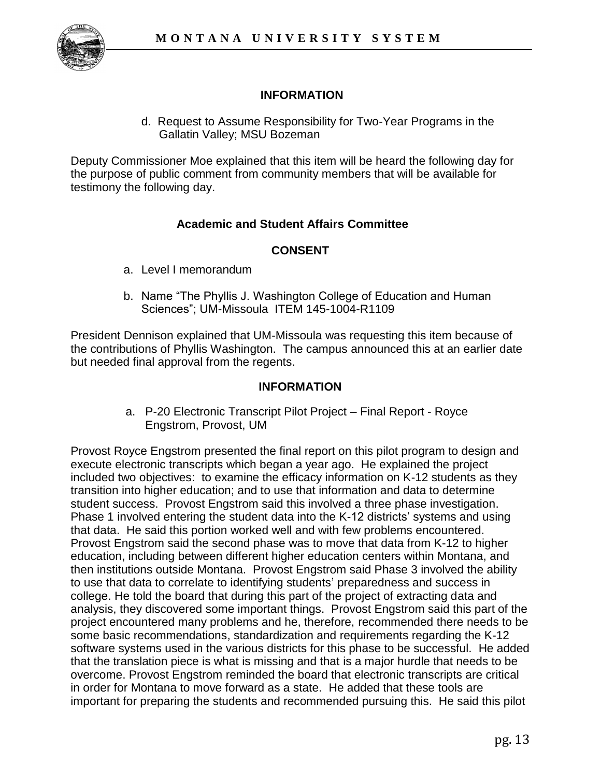

# **INFORMATION**

d. Request to Assume Responsibility for Two-Year Programs in the Gallatin Valley; MSU Bozeman

Deputy Commissioner Moe explained that this item will be heard the following day for the purpose of public comment from community members that will be available for testimony the following day.

# **Academic and Student Affairs Committee**

# **CONSENT**

- a. Level I memorandum
- b. Name "The Phyllis J. Washington College of Education and Human Sciences"; UM-Missoula ITEM 145-1004-R1109

President Dennison explained that UM-Missoula was requesting this item because of the contributions of Phyllis Washington. The campus announced this at an earlier date but needed final approval from the regents.

#### **INFORMATION**

 a. P-20 Electronic Transcript Pilot Project – Final Report - Royce Engstrom, Provost, UM

Provost Royce Engstrom presented the final report on this pilot program to design and execute electronic transcripts which began a year ago. He explained the project included two objectives: to examine the efficacy information on K-12 students as they transition into higher education; and to use that information and data to determine student success. Provost Engstrom said this involved a three phase investigation. Phase 1 involved entering the student data into the K-12 districts' systems and using that data. He said this portion worked well and with few problems encountered. Provost Engstrom said the second phase was to move that data from K-12 to higher education, including between different higher education centers within Montana, and then institutions outside Montana. Provost Engstrom said Phase 3 involved the ability to use that data to correlate to identifying students' preparedness and success in college. He told the board that during this part of the project of extracting data and analysis, they discovered some important things. Provost Engstrom said this part of the project encountered many problems and he, therefore, recommended there needs to be some basic recommendations, standardization and requirements regarding the K-12 software systems used in the various districts for this phase to be successful. He added that the translation piece is what is missing and that is a major hurdle that needs to be overcome. Provost Engstrom reminded the board that electronic transcripts are critical in order for Montana to move forward as a state. He added that these tools are important for preparing the students and recommended pursuing this. He said this pilot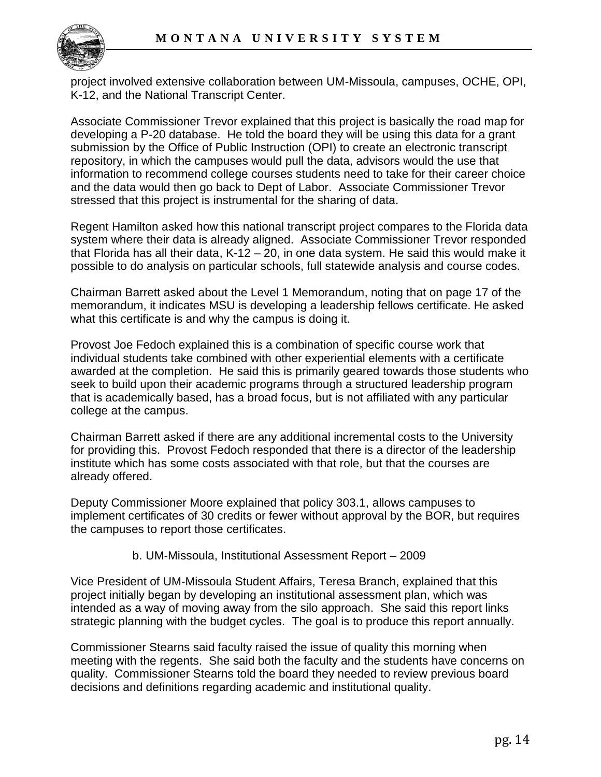

project involved extensive collaboration between UM-Missoula, campuses, OCHE, OPI, K-12, and the National Transcript Center.

Associate Commissioner Trevor explained that this project is basically the road map for developing a P-20 database. He told the board they will be using this data for a grant submission by the Office of Public Instruction (OPI) to create an electronic transcript repository, in which the campuses would pull the data, advisors would the use that information to recommend college courses students need to take for their career choice and the data would then go back to Dept of Labor. Associate Commissioner Trevor stressed that this project is instrumental for the sharing of data.

Regent Hamilton asked how this national transcript project compares to the Florida data system where their data is already aligned. Associate Commissioner Trevor responded that Florida has all their data, K-12 – 20, in one data system. He said this would make it possible to do analysis on particular schools, full statewide analysis and course codes.

Chairman Barrett asked about the Level 1 Memorandum, noting that on page 17 of the memorandum, it indicates MSU is developing a leadership fellows certificate. He asked what this certificate is and why the campus is doing it.

Provost Joe Fedoch explained this is a combination of specific course work that individual students take combined with other experiential elements with a certificate awarded at the completion. He said this is primarily geared towards those students who seek to build upon their academic programs through a structured leadership program that is academically based, has a broad focus, but is not affiliated with any particular college at the campus.

Chairman Barrett asked if there are any additional incremental costs to the University for providing this. Provost Fedoch responded that there is a director of the leadership institute which has some costs associated with that role, but that the courses are already offered.

Deputy Commissioner Moore explained that policy 303.1, allows campuses to implement certificates of 30 credits or fewer without approval by the BOR, but requires the campuses to report those certificates.

#### b. UM-Missoula, Institutional Assessment Report – 2009

Vice President of UM-Missoula Student Affairs, Teresa Branch, explained that this project initially began by developing an institutional assessment plan, which was intended as a way of moving away from the silo approach. She said this report links strategic planning with the budget cycles. The goal is to produce this report annually.

Commissioner Stearns said faculty raised the issue of quality this morning when meeting with the regents. She said both the faculty and the students have concerns on quality. Commissioner Stearns told the board they needed to review previous board decisions and definitions regarding academic and institutional quality.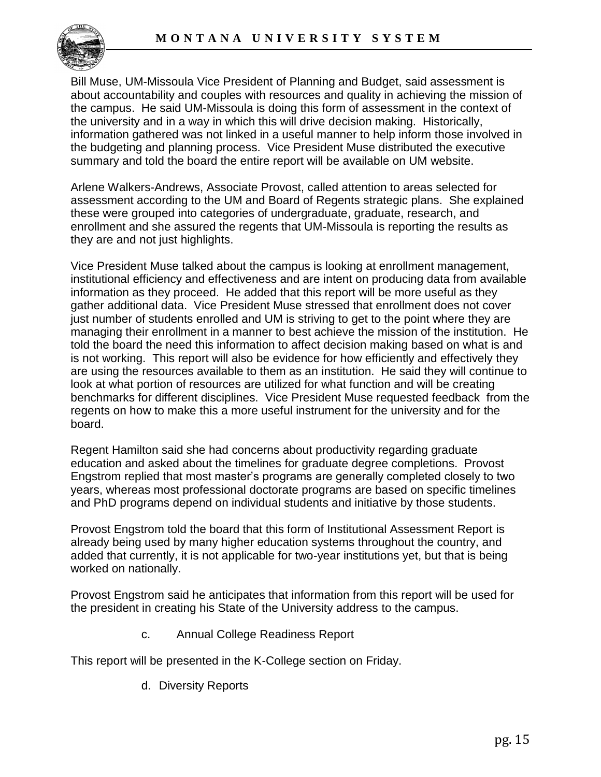

Bill Muse, UM-Missoula Vice President of Planning and Budget, said assessment is about accountability and couples with resources and quality in achieving the mission of the campus. He said UM-Missoula is doing this form of assessment in the context of the university and in a way in which this will drive decision making. Historically, information gathered was not linked in a useful manner to help inform those involved in the budgeting and planning process. Vice President Muse distributed the executive summary and told the board the entire report will be available on UM website.

Arlene Walkers-Andrews, Associate Provost, called attention to areas selected for assessment according to the UM and Board of Regents strategic plans. She explained these were grouped into categories of undergraduate, graduate, research, and enrollment and she assured the regents that UM-Missoula is reporting the results as they are and not just highlights.

Vice President Muse talked about the campus is looking at enrollment management, institutional efficiency and effectiveness and are intent on producing data from available information as they proceed. He added that this report will be more useful as they gather additional data. Vice President Muse stressed that enrollment does not cover just number of students enrolled and UM is striving to get to the point where they are managing their enrollment in a manner to best achieve the mission of the institution. He told the board the need this information to affect decision making based on what is and is not working. This report will also be evidence for how efficiently and effectively they are using the resources available to them as an institution. He said they will continue to look at what portion of resources are utilized for what function and will be creating benchmarks for different disciplines. Vice President Muse requested feedback from the regents on how to make this a more useful instrument for the university and for the board.

Regent Hamilton said she had concerns about productivity regarding graduate education and asked about the timelines for graduate degree completions. Provost Engstrom replied that most master's programs are generally completed closely to two years, whereas most professional doctorate programs are based on specific timelines and PhD programs depend on individual students and initiative by those students.

Provost Engstrom told the board that this form of Institutional Assessment Report is already being used by many higher education systems throughout the country, and added that currently, it is not applicable for two-year institutions yet, but that is being worked on nationally.

Provost Engstrom said he anticipates that information from this report will be used for the president in creating his State of the University address to the campus.

c. Annual College Readiness Report

This report will be presented in the K-College section on Friday.

d. Diversity Reports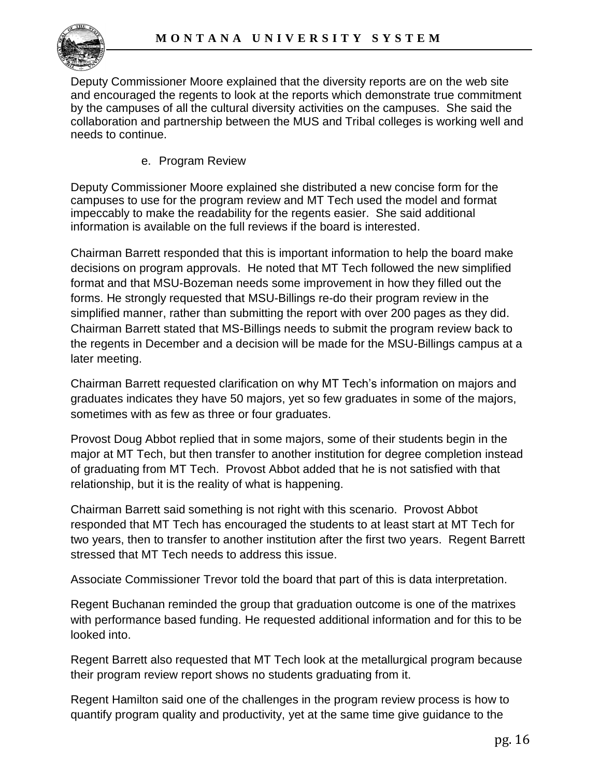

Deputy Commissioner Moore explained that the diversity reports are on the web site and encouraged the regents to look at the reports which demonstrate true commitment by the campuses of all the cultural diversity activities on the campuses. She said the collaboration and partnership between the MUS and Tribal colleges is working well and needs to continue.

e. Program Review

Deputy Commissioner Moore explained she distributed a new concise form for the campuses to use for the program review and MT Tech used the model and format impeccably to make the readability for the regents easier. She said additional information is available on the full reviews if the board is interested.

Chairman Barrett responded that this is important information to help the board make decisions on program approvals. He noted that MT Tech followed the new simplified format and that MSU-Bozeman needs some improvement in how they filled out the forms. He strongly requested that MSU-Billings re-do their program review in the simplified manner, rather than submitting the report with over 200 pages as they did. Chairman Barrett stated that MS-Billings needs to submit the program review back to the regents in December and a decision will be made for the MSU-Billings campus at a later meeting.

Chairman Barrett requested clarification on why MT Tech's information on majors and graduates indicates they have 50 majors, yet so few graduates in some of the majors, sometimes with as few as three or four graduates.

Provost Doug Abbot replied that in some majors, some of their students begin in the major at MT Tech, but then transfer to another institution for degree completion instead of graduating from MT Tech. Provost Abbot added that he is not satisfied with that relationship, but it is the reality of what is happening.

Chairman Barrett said something is not right with this scenario. Provost Abbot responded that MT Tech has encouraged the students to at least start at MT Tech for two years, then to transfer to another institution after the first two years. Regent Barrett stressed that MT Tech needs to address this issue.

Associate Commissioner Trevor told the board that part of this is data interpretation.

Regent Buchanan reminded the group that graduation outcome is one of the matrixes with performance based funding. He requested additional information and for this to be looked into.

Regent Barrett also requested that MT Tech look at the metallurgical program because their program review report shows no students graduating from it.

Regent Hamilton said one of the challenges in the program review process is how to quantify program quality and productivity, yet at the same time give guidance to the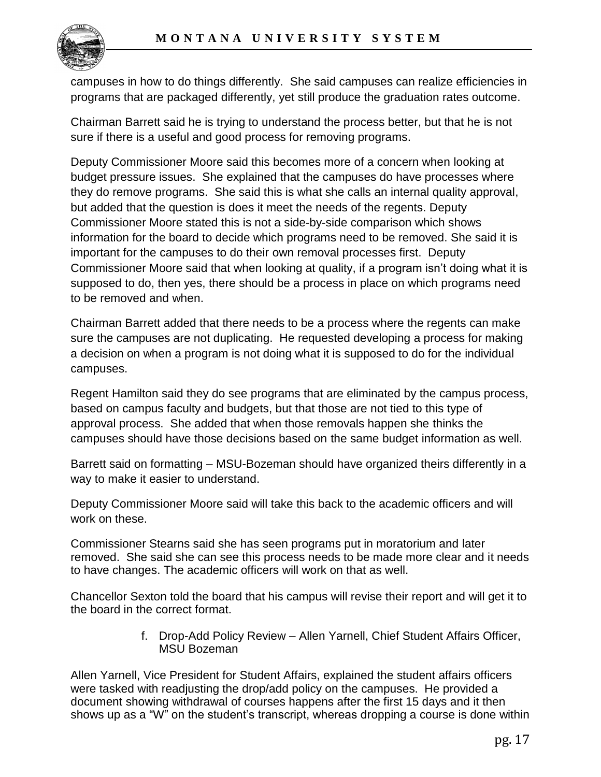

campuses in how to do things differently. She said campuses can realize efficiencies in programs that are packaged differently, yet still produce the graduation rates outcome.

Chairman Barrett said he is trying to understand the process better, but that he is not sure if there is a useful and good process for removing programs.

Deputy Commissioner Moore said this becomes more of a concern when looking at budget pressure issues. She explained that the campuses do have processes where they do remove programs. She said this is what she calls an internal quality approval, but added that the question is does it meet the needs of the regents. Deputy Commissioner Moore stated this is not a side-by-side comparison which shows information for the board to decide which programs need to be removed. She said it is important for the campuses to do their own removal processes first. Deputy Commissioner Moore said that when looking at quality, if a program isn't doing what it is supposed to do, then yes, there should be a process in place on which programs need to be removed and when.

Chairman Barrett added that there needs to be a process where the regents can make sure the campuses are not duplicating. He requested developing a process for making a decision on when a program is not doing what it is supposed to do for the individual campuses.

Regent Hamilton said they do see programs that are eliminated by the campus process, based on campus faculty and budgets, but that those are not tied to this type of approval process. She added that when those removals happen she thinks the campuses should have those decisions based on the same budget information as well.

Barrett said on formatting – MSU-Bozeman should have organized theirs differently in a way to make it easier to understand.

Deputy Commissioner Moore said will take this back to the academic officers and will work on these.

Commissioner Stearns said she has seen programs put in moratorium and later removed. She said she can see this process needs to be made more clear and it needs to have changes. The academic officers will work on that as well.

Chancellor Sexton told the board that his campus will revise their report and will get it to the board in the correct format.

> f. Drop-Add Policy Review – Allen Yarnell, Chief Student Affairs Officer, MSU Bozeman

Allen Yarnell, Vice President for Student Affairs, explained the student affairs officers were tasked with readjusting the drop/add policy on the campuses. He provided a document showing withdrawal of courses happens after the first 15 days and it then shows up as a "W" on the student's transcript, whereas dropping a course is done within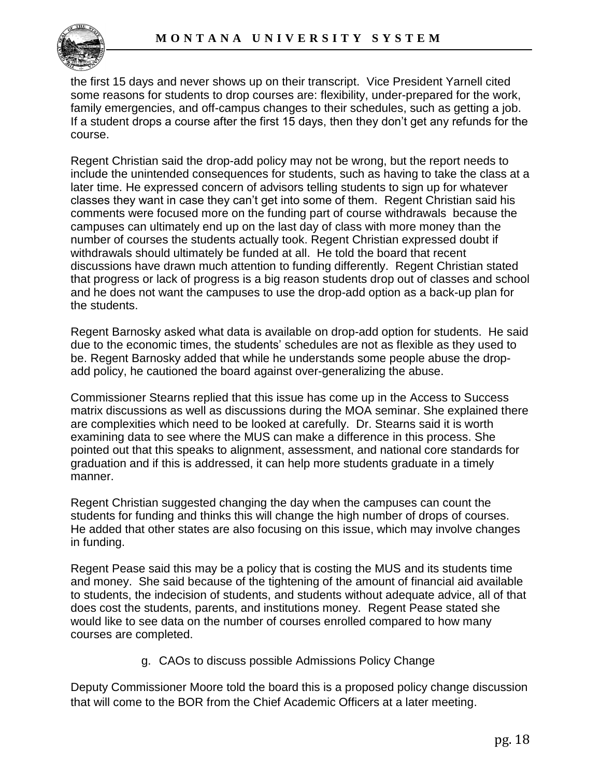the first 15 days and never shows up on their transcript. Vice President Yarnell cited some reasons for students to drop courses are: flexibility, under-prepared for the work, family emergencies, and off-campus changes to their schedules, such as getting a job. If a student drops a course after the first 15 days, then they don't get any refunds for the course.

Regent Christian said the drop-add policy may not be wrong, but the report needs to include the unintended consequences for students, such as having to take the class at a later time. He expressed concern of advisors telling students to sign up for whatever classes they want in case they can't get into some of them. Regent Christian said his comments were focused more on the funding part of course withdrawals because the campuses can ultimately end up on the last day of class with more money than the number of courses the students actually took. Regent Christian expressed doubt if withdrawals should ultimately be funded at all. He told the board that recent discussions have drawn much attention to funding differently. Regent Christian stated that progress or lack of progress is a big reason students drop out of classes and school and he does not want the campuses to use the drop-add option as a back-up plan for the students.

Regent Barnosky asked what data is available on drop-add option for students. He said due to the economic times, the students' schedules are not as flexible as they used to be. Regent Barnosky added that while he understands some people abuse the dropadd policy, he cautioned the board against over-generalizing the abuse.

Commissioner Stearns replied that this issue has come up in the Access to Success matrix discussions as well as discussions during the MOA seminar. She explained there are complexities which need to be looked at carefully. Dr. Stearns said it is worth examining data to see where the MUS can make a difference in this process. She pointed out that this speaks to alignment, assessment, and national core standards for graduation and if this is addressed, it can help more students graduate in a timely manner.

Regent Christian suggested changing the day when the campuses can count the students for funding and thinks this will change the high number of drops of courses. He added that other states are also focusing on this issue, which may involve changes in funding.

Regent Pease said this may be a policy that is costing the MUS and its students time and money. She said because of the tightening of the amount of financial aid available to students, the indecision of students, and students without adequate advice, all of that does cost the students, parents, and institutions money. Regent Pease stated she would like to see data on the number of courses enrolled compared to how many courses are completed.

g. CAOs to discuss possible Admissions Policy Change

Deputy Commissioner Moore told the board this is a proposed policy change discussion that will come to the BOR from the Chief Academic Officers at a later meeting.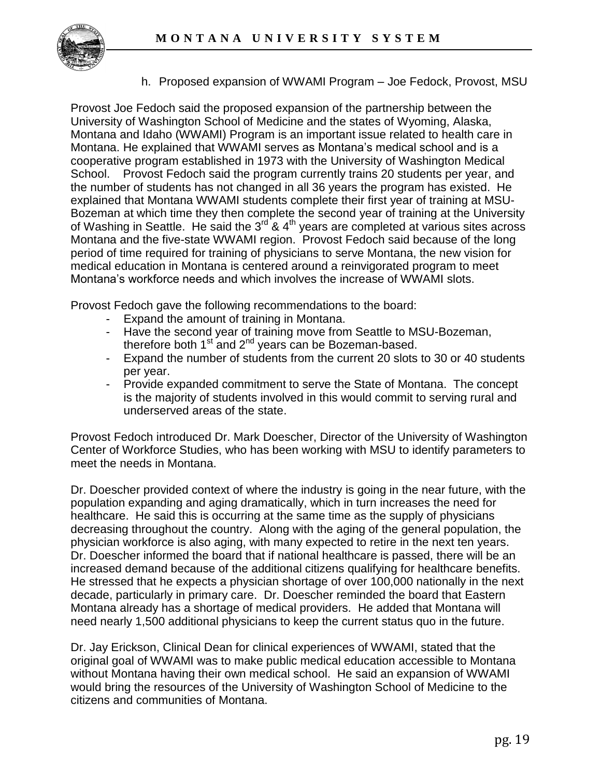

h. Proposed expansion of WWAMI Program – Joe Fedock, Provost, MSU

Provost Joe Fedoch said the proposed expansion of the partnership between the University of Washington School of Medicine and the states of Wyoming, Alaska, Montana and Idaho (WWAMI) Program is an important issue related to health care in Montana. He explained that WWAMI serves as Montana's medical school and is a cooperative program established in 1973 with the University of Washington Medical School. Provost Fedoch said the program currently trains 20 students per year, and the number of students has not changed in all 36 years the program has existed. He explained that Montana WWAMI students complete their first year of training at MSU-Bozeman at which time they then complete the second year of training at the University of Washing in Seattle. He said the 3<sup>rd</sup> & 4<sup>th</sup> years are completed at various sites across Montana and the five-state WWAMI region. Provost Fedoch said because of the long period of time required for training of physicians to serve Montana, the new vision for medical education in Montana is centered around a reinvigorated program to meet Montana's workforce needs and which involves the increase of WWAMI slots.

Provost Fedoch gave the following recommendations to the board:

- Expand the amount of training in Montana.
- Have the second year of training move from Seattle to MSU-Bozeman, therefore both  $1<sup>st</sup>$  and  $2<sup>nd</sup>$  years can be Bozeman-based.
- Expand the number of students from the current 20 slots to 30 or 40 students per year.
- Provide expanded commitment to serve the State of Montana. The concept is the majority of students involved in this would commit to serving rural and underserved areas of the state.

Provost Fedoch introduced Dr. Mark Doescher, Director of the University of Washington Center of Workforce Studies, who has been working with MSU to identify parameters to meet the needs in Montana.

Dr. Doescher provided context of where the industry is going in the near future, with the population expanding and aging dramatically, which in turn increases the need for healthcare. He said this is occurring at the same time as the supply of physicians decreasing throughout the country. Along with the aging of the general population, the physician workforce is also aging, with many expected to retire in the next ten years. Dr. Doescher informed the board that if national healthcare is passed, there will be an increased demand because of the additional citizens qualifying for healthcare benefits. He stressed that he expects a physician shortage of over 100,000 nationally in the next decade, particularly in primary care. Dr. Doescher reminded the board that Eastern Montana already has a shortage of medical providers. He added that Montana will need nearly 1,500 additional physicians to keep the current status quo in the future.

Dr. Jay Erickson, Clinical Dean for clinical experiences of WWAMI, stated that the original goal of WWAMI was to make public medical education accessible to Montana without Montana having their own medical school. He said an expansion of WWAMI would bring the resources of the University of Washington School of Medicine to the citizens and communities of Montana.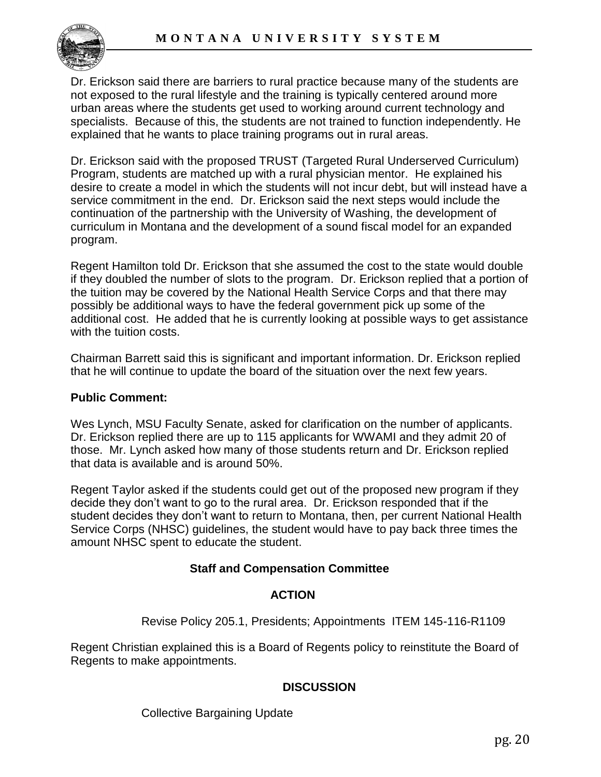

Dr. Erickson said there are barriers to rural practice because many of the students are not exposed to the rural lifestyle and the training is typically centered around more urban areas where the students get used to working around current technology and specialists. Because of this, the students are not trained to function independently. He explained that he wants to place training programs out in rural areas.

Dr. Erickson said with the proposed TRUST (Targeted Rural Underserved Curriculum) Program, students are matched up with a rural physician mentor. He explained his desire to create a model in which the students will not incur debt, but will instead have a service commitment in the end. Dr. Erickson said the next steps would include the continuation of the partnership with the University of Washing, the development of curriculum in Montana and the development of a sound fiscal model for an expanded program.

Regent Hamilton told Dr. Erickson that she assumed the cost to the state would double if they doubled the number of slots to the program. Dr. Erickson replied that a portion of the tuition may be covered by the National Health Service Corps and that there may possibly be additional ways to have the federal government pick up some of the additional cost. He added that he is currently looking at possible ways to get assistance with the tuition costs.

Chairman Barrett said this is significant and important information. Dr. Erickson replied that he will continue to update the board of the situation over the next few years.

#### **Public Comment:**

Wes Lynch, MSU Faculty Senate, asked for clarification on the number of applicants. Dr. Erickson replied there are up to 115 applicants for WWAMI and they admit 20 of those. Mr. Lynch asked how many of those students return and Dr. Erickson replied that data is available and is around 50%.

Regent Taylor asked if the students could get out of the proposed new program if they decide they don't want to go to the rural area. Dr. Erickson responded that if the student decides they don't want to return to Montana, then, per current National Health Service Corps (NHSC) guidelines, the student would have to pay back three times the amount NHSC spent to educate the student.

### **Staff and Compensation Committee**

### **ACTION**

Revise Policy 205.1, Presidents; Appointments ITEM 145-116-R1109

Regent Christian explained this is a Board of Regents policy to reinstitute the Board of Regents to make appointments.

### **DISCUSSION**

Collective Bargaining Update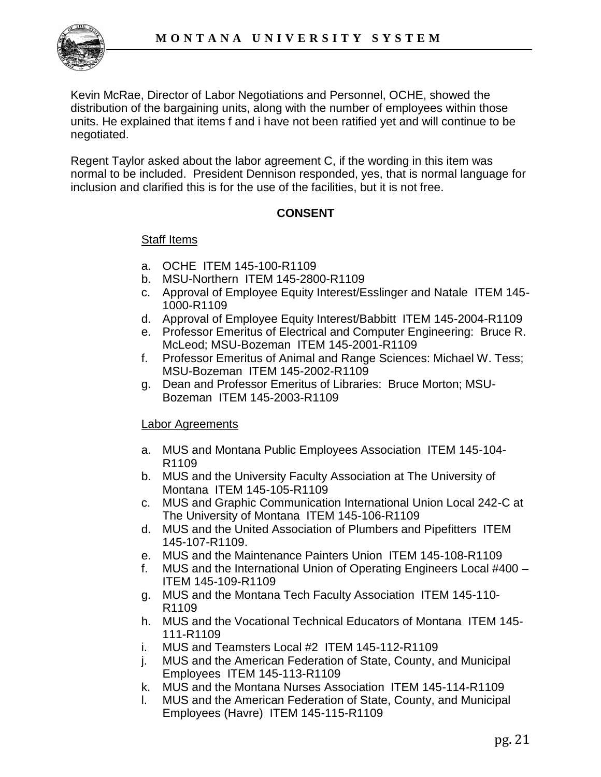

Kevin McRae, Director of Labor Negotiations and Personnel, OCHE, showed the distribution of the bargaining units, along with the number of employees within those units. He explained that items f and i have not been ratified yet and will continue to be negotiated.

Regent Taylor asked about the labor agreement C, if the wording in this item was normal to be included. President Dennison responded, yes, that is normal language for inclusion and clarified this is for the use of the facilities, but it is not free.

### **CONSENT**

### Staff Items

- a. OCHE ITEM 145-100-R1109
- b. MSU-Northern ITEM 145-2800-R1109
- c. Approval of Employee Equity Interest/Esslinger and Natale ITEM 145- 1000-R1109
- d. Approval of Employee Equity Interest/Babbitt ITEM 145-2004-R1109
- e. Professor Emeritus of Electrical and Computer Engineering: Bruce R. McLeod; MSU-Bozeman ITEM 145-2001-R1109
- f. Professor Emeritus of Animal and Range Sciences: Michael W. Tess; MSU-Bozeman ITEM 145-2002-R1109
- g. Dean and Professor Emeritus of Libraries: Bruce Morton; MSU-Bozeman ITEM 145-2003-R1109

#### **Labor Agreements**

- a. MUS and Montana Public Employees Association ITEM 145-104- R1109
- b. MUS and the University Faculty Association at The University of Montana ITEM 145-105-R1109
- c. MUS and Graphic Communication International Union Local 242-C at The University of Montana ITEM 145-106-R1109
- d. MUS and the United Association of Plumbers and Pipefitters ITEM 145-107-R1109.
- e. MUS and the Maintenance Painters Union ITEM 145-108-R1109
- f. MUS and the International Union of Operating Engineers Local #400 ITEM 145-109-R1109
- g. MUS and the Montana Tech Faculty Association ITEM 145-110- R1109
- h. MUS and the Vocational Technical Educators of Montana ITEM 145- 111-R1109
- i. MUS and Teamsters Local #2 ITEM 145-112-R1109
- j. MUS and the American Federation of State, County, and Municipal Employees ITEM 145-113-R1109
- k. MUS and the Montana Nurses Association ITEM 145-114-R1109
- l. MUS and the American Federation of State, County, and Municipal Employees (Havre) ITEM 145-115-R1109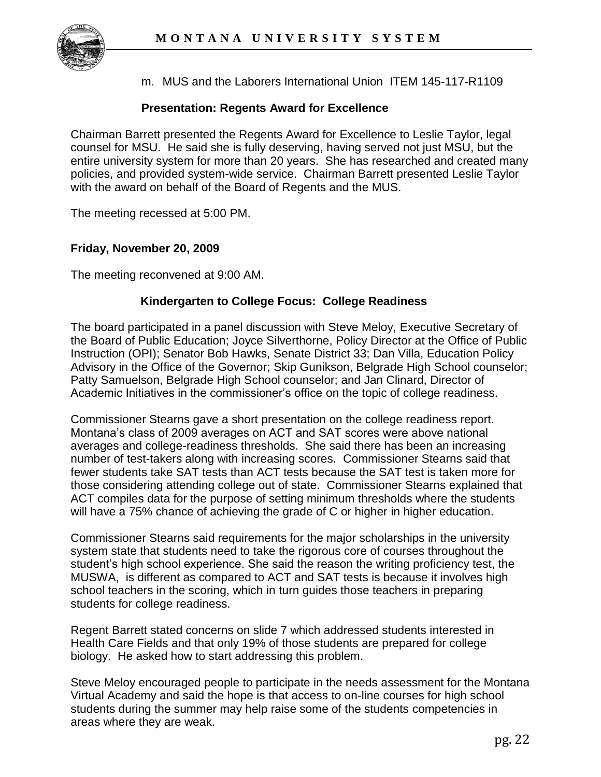

m. MUS and the Laborers International Union ITEM 145-117-R1109

## **Presentation: Regents Award for Excellence**

Chairman Barrett presented the Regents Award for Excellence to Leslie Taylor, legal counsel for MSU. He said she is fully deserving, having served not just MSU, but the entire university system for more than 20 years. She has researched and created many policies, and provided system-wide service. Chairman Barrett presented Leslie Taylor with the award on behalf of the Board of Regents and the MUS.

The meeting recessed at 5:00 PM.

### **Friday, November 20, 2009**

The meeting reconvened at 9:00 AM.

### **Kindergarten to College Focus: College Readiness**

The board participated in a panel discussion with Steve Meloy, Executive Secretary of the Board of Public Education; Joyce Silverthorne, Policy Director at the Office of Public Instruction (OPI); Senator Bob Hawks, Senate District 33; Dan Villa, Education Policy Advisory in the Office of the Governor; Skip Gunikson, Belgrade High School counselor; Patty Samuelson, Belgrade High School counselor; and Jan Clinard, Director of Academic Initiatives in the commissioner's office on the topic of college readiness.

Commissioner Stearns gave a short presentation on the college readiness report. Montana's class of 2009 averages on ACT and SAT scores were above national averages and college-readiness thresholds. She said there has been an increasing number of test-takers along with increasing scores. Commissioner Stearns said that fewer students take SAT tests than ACT tests because the SAT test is taken more for those considering attending college out of state. Commissioner Stearns explained that ACT compiles data for the purpose of setting minimum thresholds where the students will have a 75% chance of achieving the grade of C or higher in higher education.

Commissioner Stearns said requirements for the major scholarships in the university system state that students need to take the rigorous core of courses throughout the student's high school experience. She said the reason the writing proficiency test, the MUSWA, is different as compared to ACT and SAT tests is because it involves high school teachers in the scoring, which in turn guides those teachers in preparing students for college readiness.

Regent Barrett stated concerns on slide 7 which addressed students interested in Health Care Fields and that only 19% of those students are prepared for college biology. He asked how to start addressing this problem.

Steve Meloy encouraged people to participate in the needs assessment for the Montana Virtual Academy and said the hope is that access to on-line courses for high school students during the summer may help raise some of the students competencies in areas where they are weak.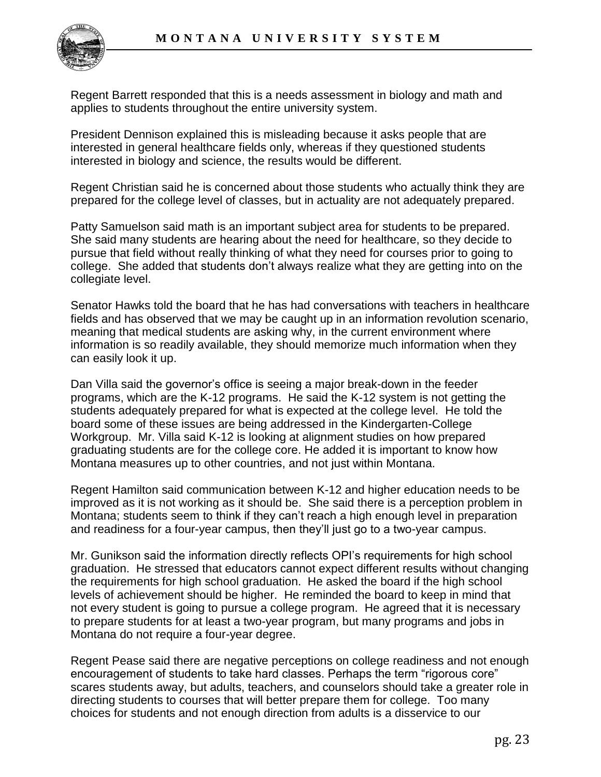

Regent Barrett responded that this is a needs assessment in biology and math and applies to students throughout the entire university system.

President Dennison explained this is misleading because it asks people that are interested in general healthcare fields only, whereas if they questioned students interested in biology and science, the results would be different.

Regent Christian said he is concerned about those students who actually think they are prepared for the college level of classes, but in actuality are not adequately prepared.

Patty Samuelson said math is an important subject area for students to be prepared. She said many students are hearing about the need for healthcare, so they decide to pursue that field without really thinking of what they need for courses prior to going to college. She added that students don't always realize what they are getting into on the collegiate level.

Senator Hawks told the board that he has had conversations with teachers in healthcare fields and has observed that we may be caught up in an information revolution scenario, meaning that medical students are asking why, in the current environment where information is so readily available, they should memorize much information when they can easily look it up.

Dan Villa said the governor's office is seeing a major break-down in the feeder programs, which are the K-12 programs. He said the K-12 system is not getting the students adequately prepared for what is expected at the college level. He told the board some of these issues are being addressed in the Kindergarten-College Workgroup. Mr. Villa said K-12 is looking at alignment studies on how prepared graduating students are for the college core. He added it is important to know how Montana measures up to other countries, and not just within Montana.

Regent Hamilton said communication between K-12 and higher education needs to be improved as it is not working as it should be. She said there is a perception problem in Montana; students seem to think if they can't reach a high enough level in preparation and readiness for a four-year campus, then they'll just go to a two-year campus.

Mr. Gunikson said the information directly reflects OPI's requirements for high school graduation. He stressed that educators cannot expect different results without changing the requirements for high school graduation. He asked the board if the high school levels of achievement should be higher. He reminded the board to keep in mind that not every student is going to pursue a college program. He agreed that it is necessary to prepare students for at least a two-year program, but many programs and jobs in Montana do not require a four-year degree.

Regent Pease said there are negative perceptions on college readiness and not enough encouragement of students to take hard classes. Perhaps the term "rigorous core" scares students away, but adults, teachers, and counselors should take a greater role in directing students to courses that will better prepare them for college. Too many choices for students and not enough direction from adults is a disservice to our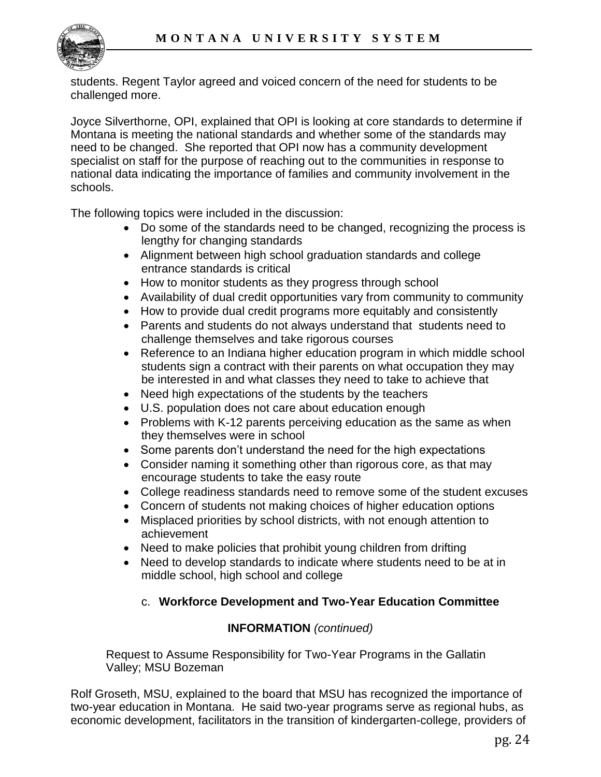

students. Regent Taylor agreed and voiced concern of the need for students to be challenged more.

Joyce Silverthorne, OPI, explained that OPI is looking at core standards to determine if Montana is meeting the national standards and whether some of the standards may need to be changed. She reported that OPI now has a community development specialist on staff for the purpose of reaching out to the communities in response to national data indicating the importance of families and community involvement in the schools.

The following topics were included in the discussion:

- Do some of the standards need to be changed, recognizing the process is lengthy for changing standards
- Alignment between high school graduation standards and college entrance standards is critical
- How to monitor students as they progress through school
- Availability of dual credit opportunities vary from community to community
- How to provide dual credit programs more equitably and consistently
- Parents and students do not always understand that students need to challenge themselves and take rigorous courses
- Reference to an Indiana higher education program in which middle school students sign a contract with their parents on what occupation they may be interested in and what classes they need to take to achieve that
- Need high expectations of the students by the teachers
- U.S. population does not care about education enough
- Problems with K-12 parents perceiving education as the same as when they themselves were in school
- Some parents don't understand the need for the high expectations
- Consider naming it something other than rigorous core, as that may encourage students to take the easy route
- College readiness standards need to remove some of the student excuses
- Concern of students not making choices of higher education options
- Misplaced priorities by school districts, with not enough attention to achievement
- Need to make policies that prohibit young children from drifting
- Need to develop standards to indicate where students need to be at in middle school, high school and college

# c. **Workforce Development and Two-Year Education Committee**

# **INFORMATION** *(continued)*

Request to Assume Responsibility for Two-Year Programs in the Gallatin Valley; MSU Bozeman

Rolf Groseth, MSU, explained to the board that MSU has recognized the importance of two-year education in Montana. He said two-year programs serve as regional hubs, as economic development, facilitators in the transition of kindergarten-college, providers of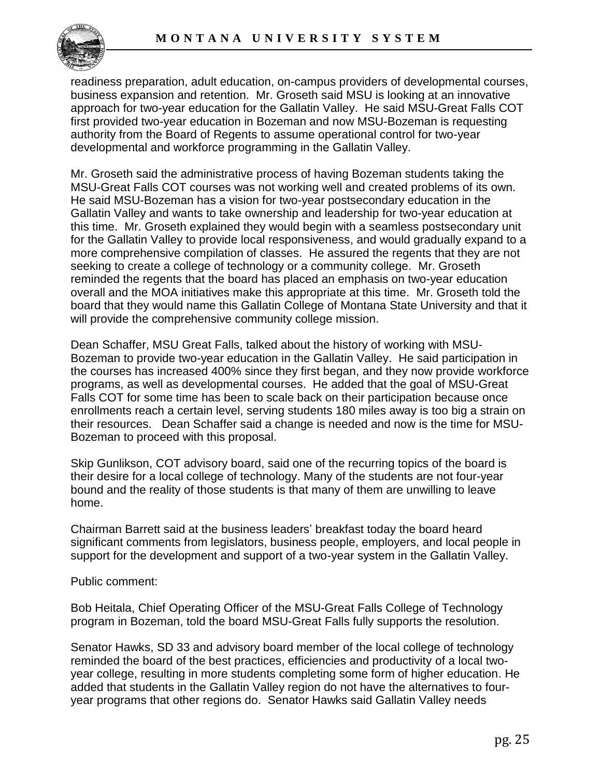

readiness preparation, adult education, on-campus providers of developmental courses, business expansion and retention. Mr. Groseth said MSU is looking at an innovative approach for two-year education for the Gallatin Valley. He said MSU-Great Falls COT first provided two-year education in Bozeman and now MSU-Bozeman is requesting authority from the Board of Regents to assume operational control for two-year developmental and workforce programming in the Gallatin Valley.

Mr. Groseth said the administrative process of having Bozeman students taking the MSU-Great Falls COT courses was not working well and created problems of its own. He said MSU-Bozeman has a vision for two-year postsecondary education in the Gallatin Valley and wants to take ownership and leadership for two-year education at this time. Mr. Groseth explained they would begin with a seamless postsecondary unit for the Gallatin Valley to provide local responsiveness, and would gradually expand to a more comprehensive compilation of classes. He assured the regents that they are not seeking to create a college of technology or a community college. Mr. Groseth reminded the regents that the board has placed an emphasis on two-year education overall and the MOA initiatives make this appropriate at this time. Mr. Groseth told the board that they would name this Gallatin College of Montana State University and that it will provide the comprehensive community college mission.

Dean Schaffer, MSU Great Falls, talked about the history of working with MSU-Bozeman to provide two-year education in the Gallatin Valley. He said participation in the courses has increased 400% since they first began, and they now provide workforce programs, as well as developmental courses. He added that the goal of MSU-Great Falls COT for some time has been to scale back on their participation because once enrollments reach a certain level, serving students 180 miles away is too big a strain on their resources. Dean Schaffer said a change is needed and now is the time for MSU-Bozeman to proceed with this proposal.

Skip Gunlikson, COT advisory board, said one of the recurring topics of the board is their desire for a local college of technology. Many of the students are not four-year bound and the reality of those students is that many of them are unwilling to leave home.

Chairman Barrett said at the business leaders' breakfast today the board heard significant comments from legislators, business people, employers, and local people in support for the development and support of a two-year system in the Gallatin Valley.

Public comment:

Bob Heitala, Chief Operating Officer of the MSU-Great Falls College of Technology program in Bozeman, told the board MSU-Great Falls fully supports the resolution.

Senator Hawks, SD 33 and advisory board member of the local college of technology reminded the board of the best practices, efficiencies and productivity of a local twoyear college, resulting in more students completing some form of higher education. He added that students in the Gallatin Valley region do not have the alternatives to fouryear programs that other regions do. Senator Hawks said Gallatin Valley needs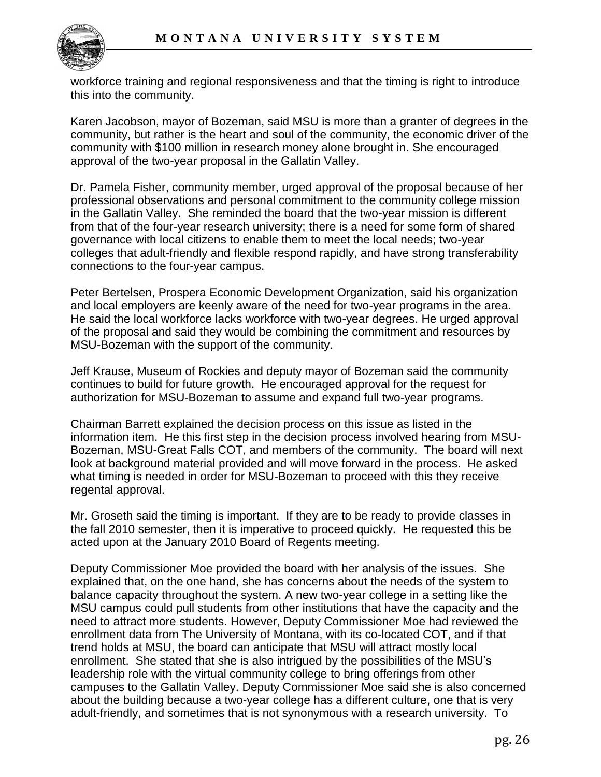

workforce training and regional responsiveness and that the timing is right to introduce this into the community.

Karen Jacobson, mayor of Bozeman, said MSU is more than a granter of degrees in the community, but rather is the heart and soul of the community, the economic driver of the community with \$100 million in research money alone brought in. She encouraged approval of the two-year proposal in the Gallatin Valley.

Dr. Pamela Fisher, community member, urged approval of the proposal because of her professional observations and personal commitment to the community college mission in the Gallatin Valley. She reminded the board that the two-year mission is different from that of the four-year research university; there is a need for some form of shared governance with local citizens to enable them to meet the local needs; two-year colleges that adult-friendly and flexible respond rapidly, and have strong transferability connections to the four-year campus.

Peter Bertelsen, Prospera Economic Development Organization, said his organization and local employers are keenly aware of the need for two-year programs in the area. He said the local workforce lacks workforce with two-year degrees. He urged approval of the proposal and said they would be combining the commitment and resources by MSU-Bozeman with the support of the community.

Jeff Krause, Museum of Rockies and deputy mayor of Bozeman said the community continues to build for future growth. He encouraged approval for the request for authorization for MSU-Bozeman to assume and expand full two-year programs.

Chairman Barrett explained the decision process on this issue as listed in the information item. He this first step in the decision process involved hearing from MSU-Bozeman, MSU-Great Falls COT, and members of the community. The board will next look at background material provided and will move forward in the process. He asked what timing is needed in order for MSU-Bozeman to proceed with this they receive regental approval.

Mr. Groseth said the timing is important. If they are to be ready to provide classes in the fall 2010 semester, then it is imperative to proceed quickly. He requested this be acted upon at the January 2010 Board of Regents meeting.

Deputy Commissioner Moe provided the board with her analysis of the issues. She explained that, on the one hand, she has concerns about the needs of the system to balance capacity throughout the system. A new two-year college in a setting like the MSU campus could pull students from other institutions that have the capacity and the need to attract more students. However, Deputy Commissioner Moe had reviewed the enrollment data from The University of Montana, with its co-located COT, and if that trend holds at MSU, the board can anticipate that MSU will attract mostly local enrollment. She stated that she is also intrigued by the possibilities of the MSU's leadership role with the virtual community college to bring offerings from other campuses to the Gallatin Valley. Deputy Commissioner Moe said she is also concerned about the building because a two-year college has a different culture, one that is very adult-friendly, and sometimes that is not synonymous with a research university. To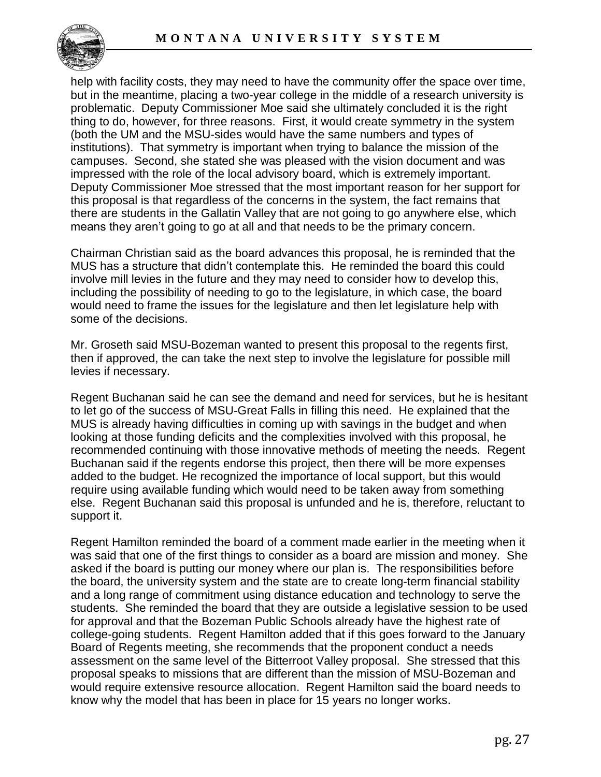

help with facility costs, they may need to have the community offer the space over time, but in the meantime, placing a two-year college in the middle of a research university is problematic. Deputy Commissioner Moe said she ultimately concluded it is the right thing to do, however, for three reasons. First, it would create symmetry in the system (both the UM and the MSU-sides would have the same numbers and types of institutions). That symmetry is important when trying to balance the mission of the campuses. Second, she stated she was pleased with the vision document and was impressed with the role of the local advisory board, which is extremely important. Deputy Commissioner Moe stressed that the most important reason for her support for this proposal is that regardless of the concerns in the system, the fact remains that there are students in the Gallatin Valley that are not going to go anywhere else, which means they aren't going to go at all and that needs to be the primary concern.

Chairman Christian said as the board advances this proposal, he is reminded that the MUS has a structure that didn't contemplate this. He reminded the board this could involve mill levies in the future and they may need to consider how to develop this, including the possibility of needing to go to the legislature, in which case, the board would need to frame the issues for the legislature and then let legislature help with some of the decisions.

Mr. Groseth said MSU-Bozeman wanted to present this proposal to the regents first, then if approved, the can take the next step to involve the legislature for possible mill levies if necessary.

Regent Buchanan said he can see the demand and need for services, but he is hesitant to let go of the success of MSU-Great Falls in filling this need. He explained that the MUS is already having difficulties in coming up with savings in the budget and when looking at those funding deficits and the complexities involved with this proposal, he recommended continuing with those innovative methods of meeting the needs. Regent Buchanan said if the regents endorse this project, then there will be more expenses added to the budget. He recognized the importance of local support, but this would require using available funding which would need to be taken away from something else. Regent Buchanan said this proposal is unfunded and he is, therefore, reluctant to support it.

Regent Hamilton reminded the board of a comment made earlier in the meeting when it was said that one of the first things to consider as a board are mission and money. She asked if the board is putting our money where our plan is. The responsibilities before the board, the university system and the state are to create long-term financial stability and a long range of commitment using distance education and technology to serve the students. She reminded the board that they are outside a legislative session to be used for approval and that the Bozeman Public Schools already have the highest rate of college-going students. Regent Hamilton added that if this goes forward to the January Board of Regents meeting, she recommends that the proponent conduct a needs assessment on the same level of the Bitterroot Valley proposal. She stressed that this proposal speaks to missions that are different than the mission of MSU-Bozeman and would require extensive resource allocation. Regent Hamilton said the board needs to know why the model that has been in place for 15 years no longer works.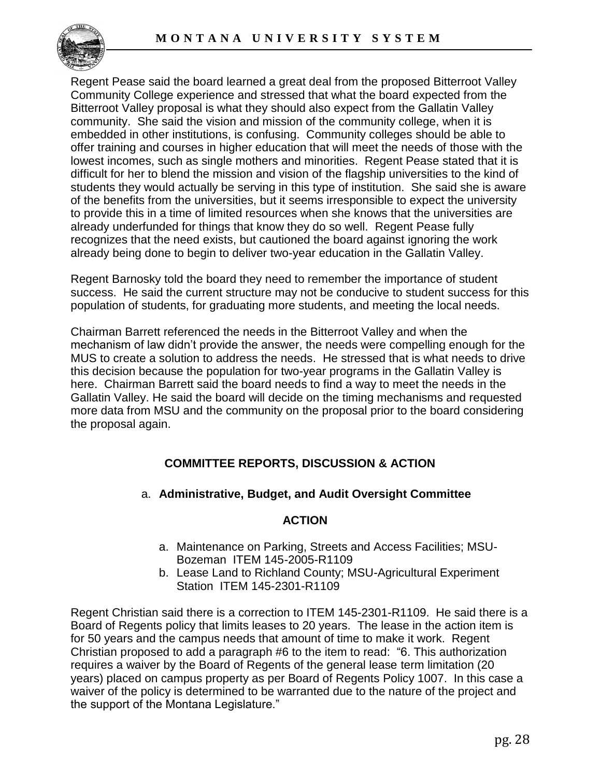

Regent Pease said the board learned a great deal from the proposed Bitterroot Valley Community College experience and stressed that what the board expected from the Bitterroot Valley proposal is what they should also expect from the Gallatin Valley community. She said the vision and mission of the community college, when it is embedded in other institutions, is confusing. Community colleges should be able to offer training and courses in higher education that will meet the needs of those with the lowest incomes, such as single mothers and minorities. Regent Pease stated that it is difficult for her to blend the mission and vision of the flagship universities to the kind of students they would actually be serving in this type of institution. She said she is aware of the benefits from the universities, but it seems irresponsible to expect the university to provide this in a time of limited resources when she knows that the universities are already underfunded for things that know they do so well. Regent Pease fully recognizes that the need exists, but cautioned the board against ignoring the work already being done to begin to deliver two-year education in the Gallatin Valley.

Regent Barnosky told the board they need to remember the importance of student success. He said the current structure may not be conducive to student success for this population of students, for graduating more students, and meeting the local needs.

Chairman Barrett referenced the needs in the Bitterroot Valley and when the mechanism of law didn't provide the answer, the needs were compelling enough for the MUS to create a solution to address the needs. He stressed that is what needs to drive this decision because the population for two-year programs in the Gallatin Valley is here. Chairman Barrett said the board needs to find a way to meet the needs in the Gallatin Valley. He said the board will decide on the timing mechanisms and requested more data from MSU and the community on the proposal prior to the board considering the proposal again.

# **COMMITTEE REPORTS, DISCUSSION & ACTION**

a. **Administrative, Budget, and Audit Oversight Committee**

### **ACTION**

- a. Maintenance on Parking, Streets and Access Facilities; MSU-Bozeman ITEM 145-2005-R1109
- b. Lease Land to Richland County; MSU-Agricultural Experiment Station ITEM 145-2301-R1109

Regent Christian said there is a correction to ITEM 145-2301-R1109. He said there is a Board of Regents policy that limits leases to 20 years. The lease in the action item is for 50 years and the campus needs that amount of time to make it work. Regent Christian proposed to add a paragraph #6 to the item to read: "6. This authorization requires a waiver by the Board of Regents of the general lease term limitation (20 years) placed on campus property as per Board of Regents Policy 1007. In this case a waiver of the policy is determined to be warranted due to the nature of the project and the support of the Montana Legislature."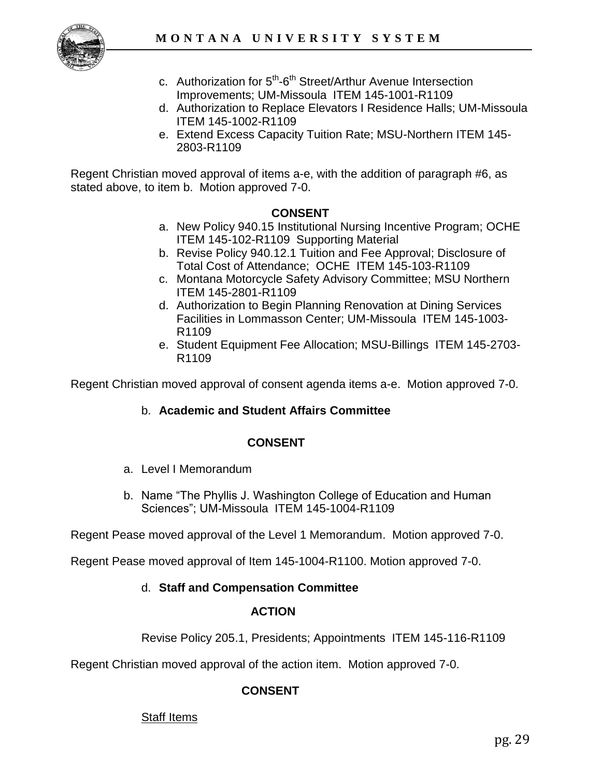

- c. Authorization for 5<sup>th</sup>-6<sup>th</sup> Street/Arthur Avenue Intersection Improvements; UM-Missoula ITEM 145-1001-R1109
- d. Authorization to Replace Elevators I Residence Halls; UM-Missoula ITEM 145-1002-R1109
- e. Extend Excess Capacity Tuition Rate; MSU-Northern ITEM 145- 2803-R1109

Regent Christian moved approval of items a-e, with the addition of paragraph #6, as stated above, to item b. Motion approved 7-0.

#### **CONSENT**

- a. New Policy 940.15 Institutional Nursing Incentive Program; OCHE ITEM 145-102-R1109 Supporting Material
- b. Revise Policy 940.12.1 Tuition and Fee Approval; Disclosure of Total Cost of Attendance; OCHE ITEM 145-103-R1109
- c. Montana Motorcycle Safety Advisory Committee; MSU Northern ITEM 145-2801-R1109
- d. Authorization to Begin Planning Renovation at Dining Services Facilities in Lommasson Center; UM-Missoula ITEM 145-1003- R1109
- e. Student Equipment Fee Allocation; MSU-Billings ITEM 145-2703- R1109

Regent Christian moved approval of consent agenda items a-e. Motion approved 7-0.

b. **Academic and Student Affairs Committee**

### **CONSENT**

- a. Level I Memorandum
- b. Name "The Phyllis J. Washington College of Education and Human Sciences"; UM-Missoula ITEM 145-1004-R1109

Regent Pease moved approval of the Level 1 Memorandum. Motion approved 7-0.

Regent Pease moved approval of Item 145-1004-R1100. Motion approved 7-0.

### d. **Staff and Compensation Committee**

#### **ACTION**

Revise Policy 205.1, Presidents; Appointments ITEM 145-116-R1109

Regent Christian moved approval of the action item. Motion approved 7-0.

### **CONSENT**

### Staff Items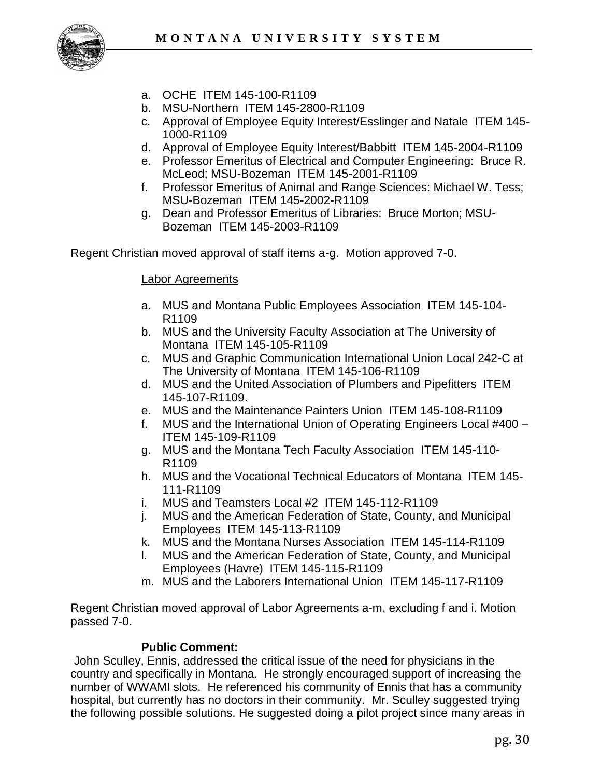

- a. OCHE ITEM 145-100-R1109
- b. MSU-Northern ITEM 145-2800-R1109
- c. Approval of Employee Equity Interest/Esslinger and Natale ITEM 145- 1000-R1109
- d. Approval of Employee Equity Interest/Babbitt ITEM 145-2004-R1109
- e. Professor Emeritus of Electrical and Computer Engineering: Bruce R. McLeod; MSU-Bozeman ITEM 145-2001-R1109
- f. Professor Emeritus of Animal and Range Sciences: Michael W. Tess; MSU-Bozeman ITEM 145-2002-R1109
- g. Dean and Professor Emeritus of Libraries: Bruce Morton; MSU-Bozeman ITEM 145-2003-R1109

Regent Christian moved approval of staff items a-g. Motion approved 7-0.

#### Labor Agreements

- a. MUS and Montana Public Employees Association ITEM 145-104- R1109
- b. MUS and the University Faculty Association at The University of Montana ITEM 145-105-R1109
- c. MUS and Graphic Communication International Union Local 242-C at The University of Montana ITEM 145-106-R1109
- d. MUS and the United Association of Plumbers and Pipefitters ITEM 145-107-R1109.
- e. MUS and the Maintenance Painters Union ITEM 145-108-R1109
- f. MUS and the International Union of Operating Engineers Local #400 ITEM 145-109-R1109
- g. MUS and the Montana Tech Faculty Association ITEM 145-110- R1109
- h. MUS and the Vocational Technical Educators of Montana ITEM 145- 111-R1109
- i. MUS and Teamsters Local #2 ITEM 145-112-R1109
- j. MUS and the American Federation of State, County, and Municipal Employees ITEM 145-113-R1109
- k. MUS and the Montana Nurses Association ITEM 145-114-R1109
- l. MUS and the American Federation of State, County, and Municipal Employees (Havre) ITEM 145-115-R1109
- m. MUS and the Laborers International Union ITEM 145-117-R1109

Regent Christian moved approval of Labor Agreements a-m, excluding f and i. Motion passed 7-0.

# **Public Comment:**

John Sculley, Ennis, addressed the critical issue of the need for physicians in the country and specifically in Montana. He strongly encouraged support of increasing the number of WWAMI slots. He referenced his community of Ennis that has a community hospital, but currently has no doctors in their community. Mr. Sculley suggested trying the following possible solutions. He suggested doing a pilot project since many areas in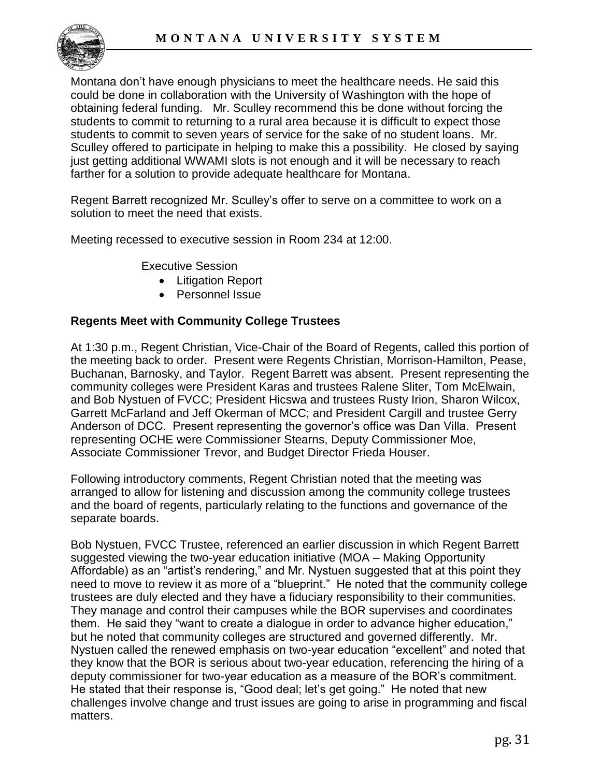

Montana don't have enough physicians to meet the healthcare needs. He said this could be done in collaboration with the University of Washington with the hope of obtaining federal funding. Mr. Sculley recommend this be done without forcing the students to commit to returning to a rural area because it is difficult to expect those students to commit to seven years of service for the sake of no student loans. Mr. Sculley offered to participate in helping to make this a possibility. He closed by saying just getting additional WWAMI slots is not enough and it will be necessary to reach farther for a solution to provide adequate healthcare for Montana.

Regent Barrett recognized Mr. Sculley's offer to serve on a committee to work on a solution to meet the need that exists.

Meeting recessed to executive session in Room 234 at 12:00.

Executive Session

- Litigation Report
- Personnel Issue

### **Regents Meet with Community College Trustees**

At 1:30 p.m., Regent Christian, Vice-Chair of the Board of Regents, called this portion of the meeting back to order. Present were Regents Christian, Morrison-Hamilton, Pease, Buchanan, Barnosky, and Taylor. Regent Barrett was absent. Present representing the community colleges were President Karas and trustees Ralene Sliter, Tom McElwain, and Bob Nystuen of FVCC; President Hicswa and trustees Rusty Irion, Sharon Wilcox, Garrett McFarland and Jeff Okerman of MCC; and President Cargill and trustee Gerry Anderson of DCC. Present representing the governor's office was Dan Villa. Present representing OCHE were Commissioner Stearns, Deputy Commissioner Moe, Associate Commissioner Trevor, and Budget Director Frieda Houser.

Following introductory comments, Regent Christian noted that the meeting was arranged to allow for listening and discussion among the community college trustees and the board of regents, particularly relating to the functions and governance of the separate boards.

Bob Nystuen, FVCC Trustee, referenced an earlier discussion in which Regent Barrett suggested viewing the two-year education initiative (MOA – Making Opportunity Affordable) as an "artist's rendering," and Mr. Nystuen suggested that at this point they need to move to review it as more of a "blueprint." He noted that the community college trustees are duly elected and they have a fiduciary responsibility to their communities. They manage and control their campuses while the BOR supervises and coordinates them. He said they "want to create a dialogue in order to advance higher education," but he noted that community colleges are structured and governed differently. Mr. Nystuen called the renewed emphasis on two-year education "excellent" and noted that they know that the BOR is serious about two-year education, referencing the hiring of a deputy commissioner for two-year education as a measure of the BOR's commitment. He stated that their response is, "Good deal; let's get going." He noted that new challenges involve change and trust issues are going to arise in programming and fiscal matters.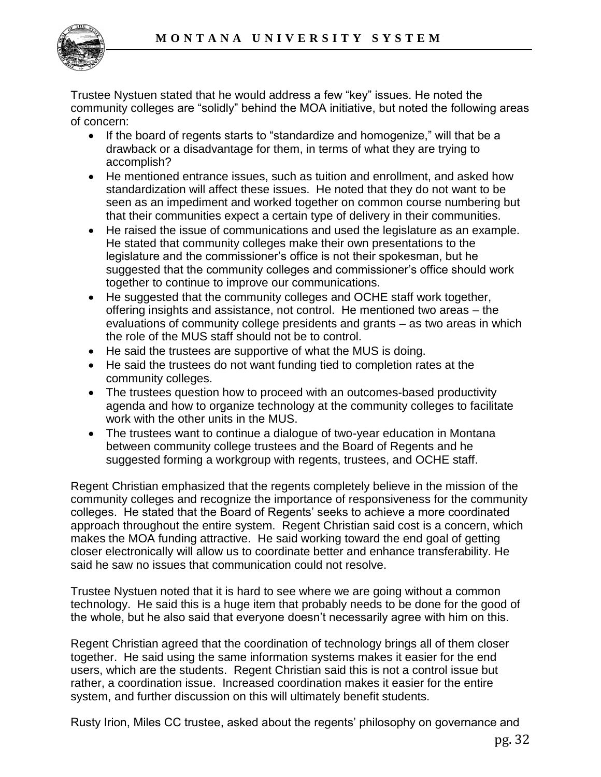

Trustee Nystuen stated that he would address a few "key" issues. He noted the community colleges are "solidly" behind the MOA initiative, but noted the following areas of concern:

- If the board of regents starts to "standardize and homogenize," will that be a drawback or a disadvantage for them, in terms of what they are trying to accomplish?
- He mentioned entrance issues, such as tuition and enrollment, and asked how standardization will affect these issues. He noted that they do not want to be seen as an impediment and worked together on common course numbering but that their communities expect a certain type of delivery in their communities.
- He raised the issue of communications and used the legislature as an example. He stated that community colleges make their own presentations to the legislature and the commissioner's office is not their spokesman, but he suggested that the community colleges and commissioner's office should work together to continue to improve our communications.
- He suggested that the community colleges and OCHE staff work together, offering insights and assistance, not control. He mentioned two areas – the evaluations of community college presidents and grants – as two areas in which the role of the MUS staff should not be to control.
- He said the trustees are supportive of what the MUS is doing.
- He said the trustees do not want funding tied to completion rates at the community colleges.
- The trustees question how to proceed with an outcomes-based productivity agenda and how to organize technology at the community colleges to facilitate work with the other units in the MUS.
- The trustees want to continue a dialogue of two-year education in Montana between community college trustees and the Board of Regents and he suggested forming a workgroup with regents, trustees, and OCHE staff.

Regent Christian emphasized that the regents completely believe in the mission of the community colleges and recognize the importance of responsiveness for the community colleges. He stated that the Board of Regents' seeks to achieve a more coordinated approach throughout the entire system. Regent Christian said cost is a concern, which makes the MOA funding attractive. He said working toward the end goal of getting closer electronically will allow us to coordinate better and enhance transferability. He said he saw no issues that communication could not resolve.

Trustee Nystuen noted that it is hard to see where we are going without a common technology. He said this is a huge item that probably needs to be done for the good of the whole, but he also said that everyone doesn't necessarily agree with him on this.

Regent Christian agreed that the coordination of technology brings all of them closer together. He said using the same information systems makes it easier for the end users, which are the students. Regent Christian said this is not a control issue but rather, a coordination issue. Increased coordination makes it easier for the entire system, and further discussion on this will ultimately benefit students.

Rusty Irion, Miles CC trustee, asked about the regents' philosophy on governance and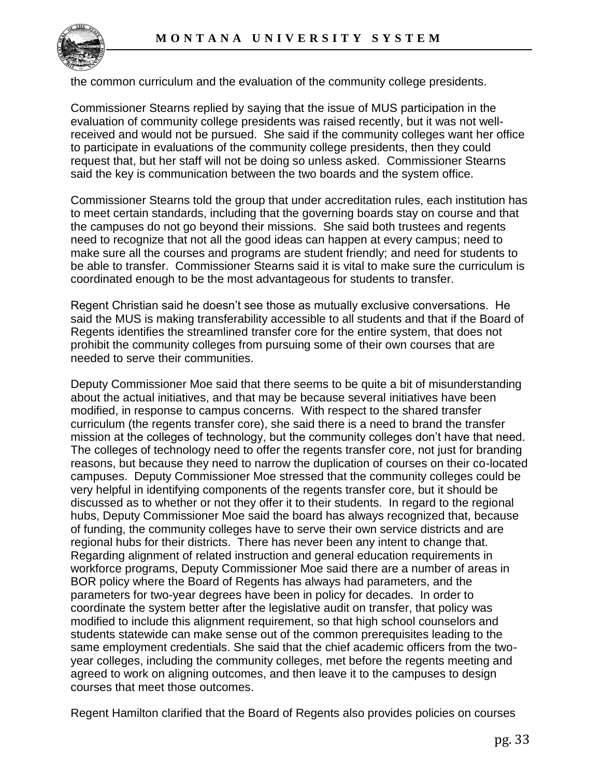

the common curriculum and the evaluation of the community college presidents.

Commissioner Stearns replied by saying that the issue of MUS participation in the evaluation of community college presidents was raised recently, but it was not wellreceived and would not be pursued. She said if the community colleges want her office to participate in evaluations of the community college presidents, then they could request that, but her staff will not be doing so unless asked. Commissioner Stearns said the key is communication between the two boards and the system office.

Commissioner Stearns told the group that under accreditation rules, each institution has to meet certain standards, including that the governing boards stay on course and that the campuses do not go beyond their missions. She said both trustees and regents need to recognize that not all the good ideas can happen at every campus; need to make sure all the courses and programs are student friendly; and need for students to be able to transfer. Commissioner Stearns said it is vital to make sure the curriculum is coordinated enough to be the most advantageous for students to transfer.

Regent Christian said he doesn't see those as mutually exclusive conversations. He said the MUS is making transferability accessible to all students and that if the Board of Regents identifies the streamlined transfer core for the entire system, that does not prohibit the community colleges from pursuing some of their own courses that are needed to serve their communities.

Deputy Commissioner Moe said that there seems to be quite a bit of misunderstanding about the actual initiatives, and that may be because several initiatives have been modified, in response to campus concerns. With respect to the shared transfer curriculum (the regents transfer core), she said there is a need to brand the transfer mission at the colleges of technology, but the community colleges don't have that need. The colleges of technology need to offer the regents transfer core, not just for branding reasons, but because they need to narrow the duplication of courses on their co-located campuses. Deputy Commissioner Moe stressed that the community colleges could be very helpful in identifying components of the regents transfer core, but it should be discussed as to whether or not they offer it to their students. In regard to the regional hubs, Deputy Commissioner Moe said the board has always recognized that, because of funding, the community colleges have to serve their own service districts and are regional hubs for their districts. There has never been any intent to change that. Regarding alignment of related instruction and general education requirements in workforce programs, Deputy Commissioner Moe said there are a number of areas in BOR policy where the Board of Regents has always had parameters, and the parameters for two-year degrees have been in policy for decades. In order to coordinate the system better after the legislative audit on transfer, that policy was modified to include this alignment requirement, so that high school counselors and students statewide can make sense out of the common prerequisites leading to the same employment credentials. She said that the chief academic officers from the twoyear colleges, including the community colleges, met before the regents meeting and agreed to work on aligning outcomes, and then leave it to the campuses to design courses that meet those outcomes.

Regent Hamilton clarified that the Board of Regents also provides policies on courses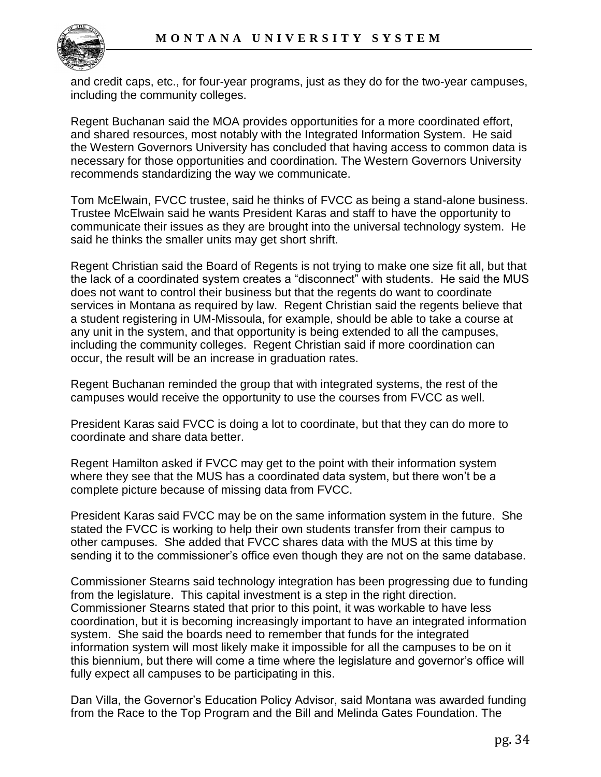

and credit caps, etc., for four-year programs, just as they do for the two-year campuses, including the community colleges.

Regent Buchanan said the MOA provides opportunities for a more coordinated effort, and shared resources, most notably with the Integrated Information System. He said the Western Governors University has concluded that having access to common data is necessary for those opportunities and coordination. The Western Governors University recommends standardizing the way we communicate.

Tom McElwain, FVCC trustee, said he thinks of FVCC as being a stand-alone business. Trustee McElwain said he wants President Karas and staff to have the opportunity to communicate their issues as they are brought into the universal technology system. He said he thinks the smaller units may get short shrift.

Regent Christian said the Board of Regents is not trying to make one size fit all, but that the lack of a coordinated system creates a "disconnect" with students. He said the MUS does not want to control their business but that the regents do want to coordinate services in Montana as required by law. Regent Christian said the regents believe that a student registering in UM-Missoula, for example, should be able to take a course at any unit in the system, and that opportunity is being extended to all the campuses, including the community colleges. Regent Christian said if more coordination can occur, the result will be an increase in graduation rates.

Regent Buchanan reminded the group that with integrated systems, the rest of the campuses would receive the opportunity to use the courses from FVCC as well.

President Karas said FVCC is doing a lot to coordinate, but that they can do more to coordinate and share data better.

Regent Hamilton asked if FVCC may get to the point with their information system where they see that the MUS has a coordinated data system, but there won't be a complete picture because of missing data from FVCC.

President Karas said FVCC may be on the same information system in the future. She stated the FVCC is working to help their own students transfer from their campus to other campuses. She added that FVCC shares data with the MUS at this time by sending it to the commissioner's office even though they are not on the same database.

Commissioner Stearns said technology integration has been progressing due to funding from the legislature. This capital investment is a step in the right direction. Commissioner Stearns stated that prior to this point, it was workable to have less coordination, but it is becoming increasingly important to have an integrated information system. She said the boards need to remember that funds for the integrated information system will most likely make it impossible for all the campuses to be on it this biennium, but there will come a time where the legislature and governor's office will fully expect all campuses to be participating in this.

Dan Villa, the Governor's Education Policy Advisor, said Montana was awarded funding from the Race to the Top Program and the Bill and Melinda Gates Foundation. The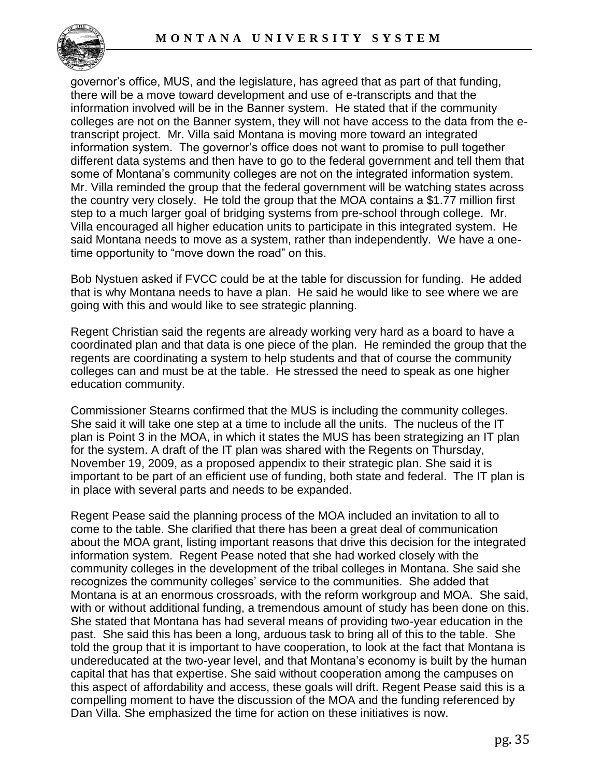

governor's office, MUS, and the legislature, has agreed that as part of that funding, there will be a move toward development and use of e-transcripts and that the information involved will be in the Banner system. He stated that if the community colleges are not on the Banner system, they will not have access to the data from the etranscript project. Mr. Villa said Montana is moving more toward an integrated information system. The governor's office does not want to promise to pull together different data systems and then have to go to the federal government and tell them that some of Montana's community colleges are not on the integrated information system. Mr. Villa reminded the group that the federal government will be watching states across the country very closely. He told the group that the MOA contains a \$1.77 million first step to a much larger goal of bridging systems from pre-school through college. Mr. Villa encouraged all higher education units to participate in this integrated system. He said Montana needs to move as a system, rather than independently. We have a onetime opportunity to "move down the road" on this.

Bob Nystuen asked if FVCC could be at the table for discussion for funding. He added that is why Montana needs to have a plan. He said he would like to see where we are going with this and would like to see strategic planning.

Regent Christian said the regents are already working very hard as a board to have a coordinated plan and that data is one piece of the plan. He reminded the group that the regents are coordinating a system to help students and that of course the community colleges can and must be at the table. He stressed the need to speak as one higher education community.

Commissioner Stearns confirmed that the MUS is including the community colleges. She said it will take one step at a time to include all the units. The nucleus of the IT plan is Point 3 in the MOA, in which it states the MUS has been strategizing an IT plan for the system. A draft of the IT plan was shared with the Regents on Thursday, November 19, 2009, as a proposed appendix to their strategic plan. She said it is important to be part of an efficient use of funding, both state and federal. The IT plan is in place with several parts and needs to be expanded.

Regent Pease said the planning process of the MOA included an invitation to all to come to the table. She clarified that there has been a great deal of communication about the MOA grant, listing important reasons that drive this decision for the integrated information system. Regent Pease noted that she had worked closely with the community colleges in the development of the tribal colleges in Montana. She said she recognizes the community colleges' service to the communities. She added that Montana is at an enormous crossroads, with the reform workgroup and MOA. She said, with or without additional funding, a tremendous amount of study has been done on this. She stated that Montana has had several means of providing two-year education in the past. She said this has been a long, arduous task to bring all of this to the table. She told the group that it is important to have cooperation, to look at the fact that Montana is undereducated at the two-year level, and that Montana's economy is built by the human capital that has that expertise. She said without cooperation among the campuses on this aspect of affordability and access, these goals will drift. Regent Pease said this is a compelling moment to have the discussion of the MOA and the funding referenced by Dan Villa. She emphasized the time for action on these initiatives is now.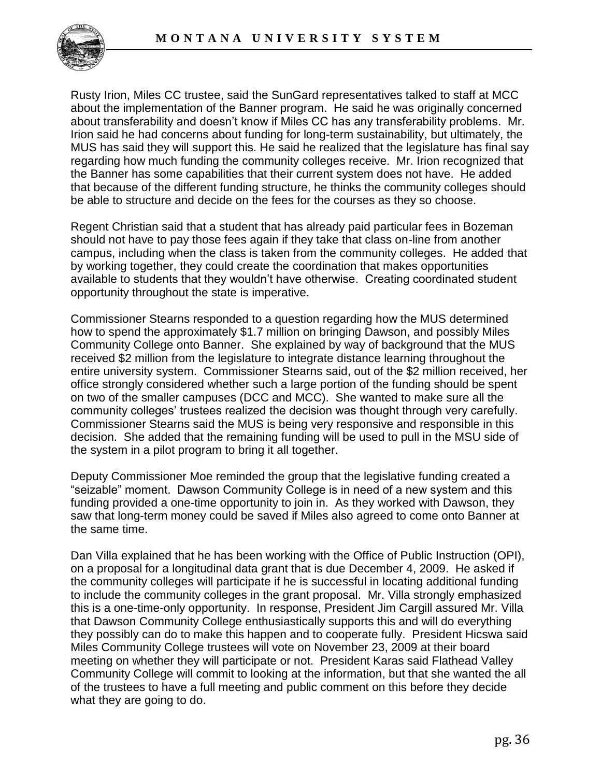

Rusty Irion, Miles CC trustee, said the SunGard representatives talked to staff at MCC about the implementation of the Banner program. He said he was originally concerned about transferability and doesn't know if Miles CC has any transferability problems. Mr. Irion said he had concerns about funding for long-term sustainability, but ultimately, the MUS has said they will support this. He said he realized that the legislature has final say regarding how much funding the community colleges receive. Mr. Irion recognized that the Banner has some capabilities that their current system does not have. He added that because of the different funding structure, he thinks the community colleges should be able to structure and decide on the fees for the courses as they so choose.

Regent Christian said that a student that has already paid particular fees in Bozeman should not have to pay those fees again if they take that class on-line from another campus, including when the class is taken from the community colleges. He added that by working together, they could create the coordination that makes opportunities available to students that they wouldn't have otherwise. Creating coordinated student opportunity throughout the state is imperative.

Commissioner Stearns responded to a question regarding how the MUS determined how to spend the approximately \$1.7 million on bringing Dawson, and possibly Miles Community College onto Banner. She explained by way of background that the MUS received \$2 million from the legislature to integrate distance learning throughout the entire university system. Commissioner Stearns said, out of the \$2 million received, her office strongly considered whether such a large portion of the funding should be spent on two of the smaller campuses (DCC and MCC). She wanted to make sure all the community colleges' trustees realized the decision was thought through very carefully. Commissioner Stearns said the MUS is being very responsive and responsible in this decision. She added that the remaining funding will be used to pull in the MSU side of the system in a pilot program to bring it all together.

Deputy Commissioner Moe reminded the group that the legislative funding created a "seizable" moment. Dawson Community College is in need of a new system and this funding provided a one-time opportunity to join in. As they worked with Dawson, they saw that long-term money could be saved if Miles also agreed to come onto Banner at the same time.

Dan Villa explained that he has been working with the Office of Public Instruction (OPI), on a proposal for a longitudinal data grant that is due December 4, 2009. He asked if the community colleges will participate if he is successful in locating additional funding to include the community colleges in the grant proposal. Mr. Villa strongly emphasized this is a one-time-only opportunity. In response, President Jim Cargill assured Mr. Villa that Dawson Community College enthusiastically supports this and will do everything they possibly can do to make this happen and to cooperate fully. President Hicswa said Miles Community College trustees will vote on November 23, 2009 at their board meeting on whether they will participate or not. President Karas said Flathead Valley Community College will commit to looking at the information, but that she wanted the all of the trustees to have a full meeting and public comment on this before they decide what they are going to do.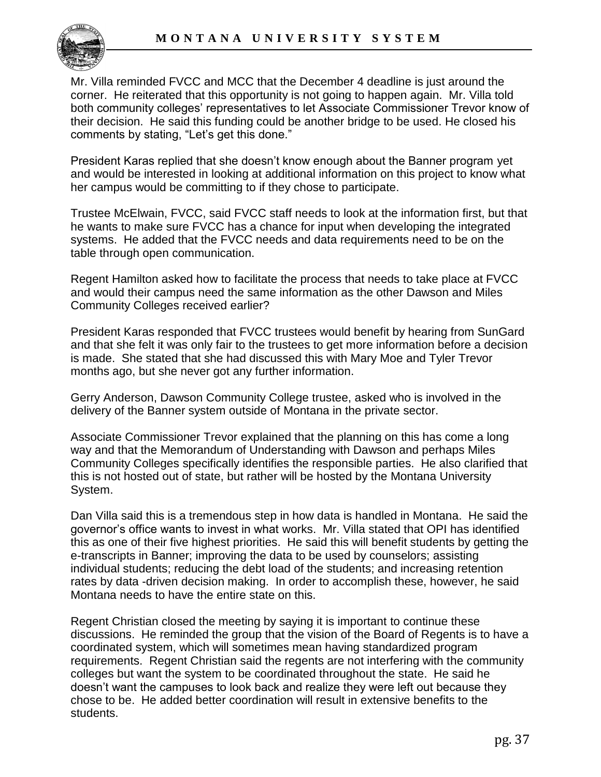

Mr. Villa reminded FVCC and MCC that the December 4 deadline is just around the corner. He reiterated that this opportunity is not going to happen again. Mr. Villa told both community colleges' representatives to let Associate Commissioner Trevor know of their decision. He said this funding could be another bridge to be used. He closed his comments by stating, "Let's get this done."

President Karas replied that she doesn't know enough about the Banner program yet and would be interested in looking at additional information on this project to know what her campus would be committing to if they chose to participate.

Trustee McElwain, FVCC, said FVCC staff needs to look at the information first, but that he wants to make sure FVCC has a chance for input when developing the integrated systems. He added that the FVCC needs and data requirements need to be on the table through open communication.

Regent Hamilton asked how to facilitate the process that needs to take place at FVCC and would their campus need the same information as the other Dawson and Miles Community Colleges received earlier?

President Karas responded that FVCC trustees would benefit by hearing from SunGard and that she felt it was only fair to the trustees to get more information before a decision is made. She stated that she had discussed this with Mary Moe and Tyler Trevor months ago, but she never got any further information.

Gerry Anderson, Dawson Community College trustee, asked who is involved in the delivery of the Banner system outside of Montana in the private sector.

Associate Commissioner Trevor explained that the planning on this has come a long way and that the Memorandum of Understanding with Dawson and perhaps Miles Community Colleges specifically identifies the responsible parties. He also clarified that this is not hosted out of state, but rather will be hosted by the Montana University System.

Dan Villa said this is a tremendous step in how data is handled in Montana. He said the governor's office wants to invest in what works. Mr. Villa stated that OPI has identified this as one of their five highest priorities. He said this will benefit students by getting the e-transcripts in Banner; improving the data to be used by counselors; assisting individual students; reducing the debt load of the students; and increasing retention rates by data -driven decision making. In order to accomplish these, however, he said Montana needs to have the entire state on this.

Regent Christian closed the meeting by saying it is important to continue these discussions. He reminded the group that the vision of the Board of Regents is to have a coordinated system, which will sometimes mean having standardized program requirements. Regent Christian said the regents are not interfering with the community colleges but want the system to be coordinated throughout the state. He said he doesn't want the campuses to look back and realize they were left out because they chose to be. He added better coordination will result in extensive benefits to the students.